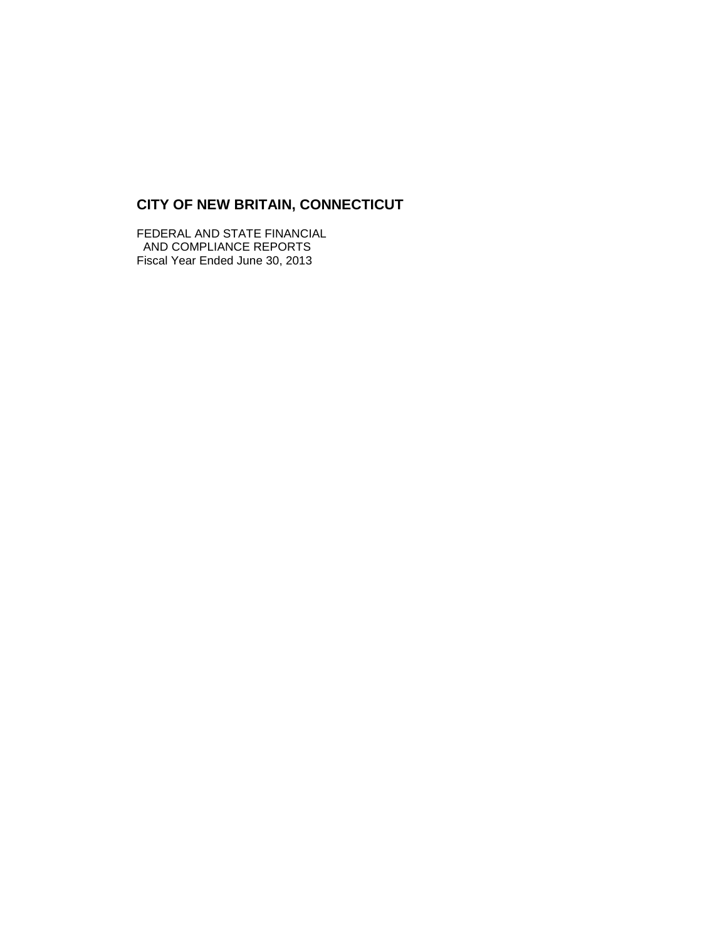FEDERAL AND STATE FINANCIAL AND COMPLIANCE REPORTS Fiscal Year Ended June 30, 2013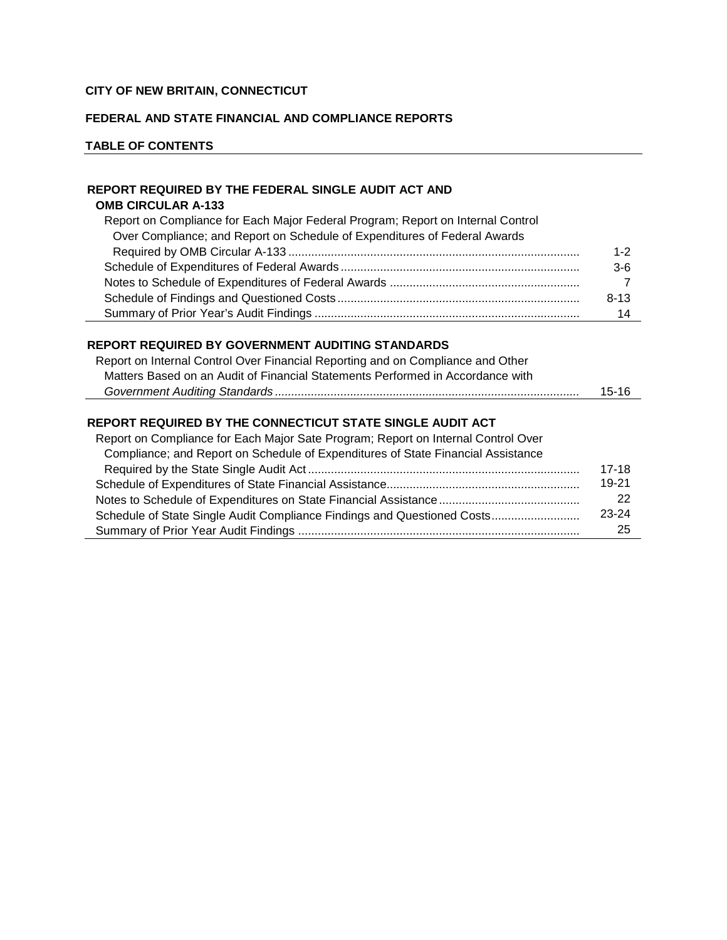# **FEDERAL AND STATE FINANCIAL AND COMPLIANCE REPORTS**

#### **TABLE OF CONTENTS**

# **REPORT REQUIRED BY THE FEDERAL SINGLE AUDIT ACT AND OMB CIRCULAR A-133**

| Report on Compliance for Each Major Federal Program; Report on Internal Control |          |
|---------------------------------------------------------------------------------|----------|
| Over Compliance; and Report on Schedule of Expenditures of Federal Awards       |          |
|                                                                                 | 1-2      |
|                                                                                 | $3-6$    |
|                                                                                 |          |
|                                                                                 | $8 - 13$ |
|                                                                                 | 14       |

#### **REPORT REQUIRED BY GOVERNMENT AUDITING STANDARDS**

| Report on Internal Control Over Financial Reporting and on Compliance and Other |       |
|---------------------------------------------------------------------------------|-------|
| Matters Based on an Audit of Financial Statements Performed in Accordance with  |       |
|                                                                                 | 15-16 |

# **REPORT REQUIRED BY THE CONNECTICUT STATE SINGLE AUDIT ACT**

| Report on Compliance for Each Major Sate Program; Report on Internal Control Over |           |
|-----------------------------------------------------------------------------------|-----------|
| Compliance; and Report on Schedule of Expenditures of State Financial Assistance  |           |
|                                                                                   | $17 - 18$ |
|                                                                                   | 19-21     |
|                                                                                   | -22       |
| Schedule of State Single Audit Compliance Findings and Questioned Costs           | $23 - 24$ |
|                                                                                   | 25        |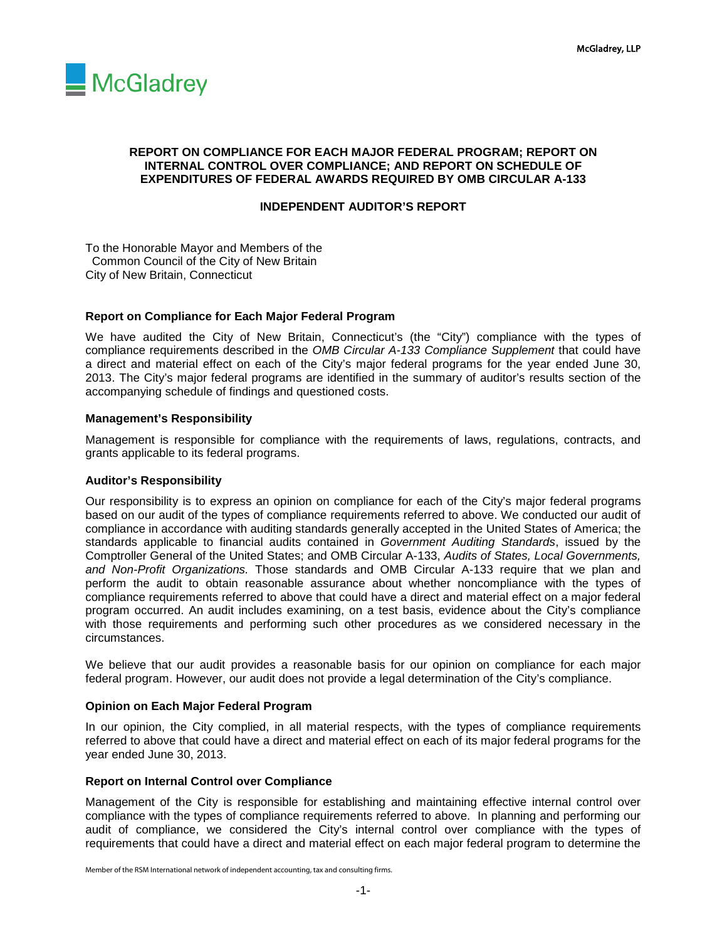

#### **REPORT ON COMPLIANCE FOR EACH MAJOR FEDERAL PROGRAM; REPORT ON INTERNAL CONTROL OVER COMPLIANCE; AND REPORT ON SCHEDULE OF EXPENDITURES OF FEDERAL AWARDS REQUIRED BY OMB CIRCULAR A-133**

#### **INDEPENDENT AUDITOR'S REPORT**

To the Honorable Mayor and Members of the Common Council of the City of New Britain City of New Britain, Connecticut

#### **Report on Compliance for Each Major Federal Program**

We have audited the City of New Britain, Connecticut's (the "City") compliance with the types of compliance requirements described in the *OMB Circular A-133 Compliance Supplement* that could have a direct and material effect on each of the City's major federal programs for the year ended June 30, 2013. The City's major federal programs are identified in the summary of auditor's results section of the accompanying schedule of findings and questioned costs.

#### **Management's Responsibility**

Management is responsible for compliance with the requirements of laws, regulations, contracts, and grants applicable to its federal programs.

#### **Auditor's Responsibility**

Our responsibility is to express an opinion on compliance for each of the City's major federal programs based on our audit of the types of compliance requirements referred to above. We conducted our audit of compliance in accordance with auditing standards generally accepted in the United States of America; the standards applicable to financial audits contained in *Government Auditing Standards*, issued by the Comptroller General of the United States; and OMB Circular A-133, *Audits of States, Local Governments, and Non-Profit Organizations.* Those standards and OMB Circular A-133 require that we plan and perform the audit to obtain reasonable assurance about whether noncompliance with the types of compliance requirements referred to above that could have a direct and material effect on a major federal program occurred. An audit includes examining, on a test basis, evidence about the City's compliance with those requirements and performing such other procedures as we considered necessary in the circumstances.

We believe that our audit provides a reasonable basis for our opinion on compliance for each major federal program. However, our audit does not provide a legal determination of the City's compliance.

#### **Opinion on Each Major Federal Program**

In our opinion, the City complied, in all material respects, with the types of compliance requirements referred to above that could have a direct and material effect on each of its major federal programs for the year ended June 30, 2013.

#### **Report on Internal Control over Compliance**

Management of the City is responsible for establishing and maintaining effective internal control over compliance with the types of compliance requirements referred to above. In planning and performing our audit of compliance, we considered the City's internal control over compliance with the types of requirements that could have a direct and material effect on each major federal program to determine the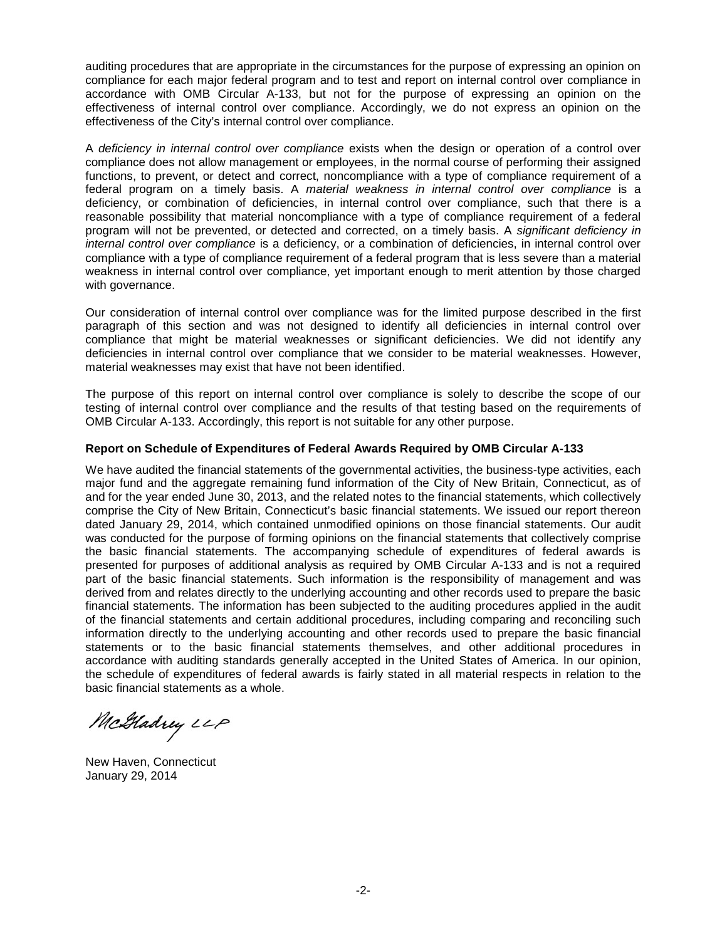auditing procedures that are appropriate in the circumstances for the purpose of expressing an opinion on compliance for each major federal program and to test and report on internal control over compliance in accordance with OMB Circular A-133, but not for the purpose of expressing an opinion on the effectiveness of internal control over compliance. Accordingly, we do not express an opinion on the effectiveness of the City's internal control over compliance.

A *deficiency in internal control over compliance* exists when the design or operation of a control over compliance does not allow management or employees, in the normal course of performing their assigned functions, to prevent, or detect and correct, noncompliance with a type of compliance requirement of a federal program on a timely basis. A *material weakness in internal control over compliance* is a deficiency, or combination of deficiencies, in internal control over compliance, such that there is a reasonable possibility that material noncompliance with a type of compliance requirement of a federal program will not be prevented, or detected and corrected, on a timely basis. A *significant deficiency in internal control over compliance* is a deficiency, or a combination of deficiencies, in internal control over compliance with a type of compliance requirement of a federal program that is less severe than a material weakness in internal control over compliance, yet important enough to merit attention by those charged with governance.

Our consideration of internal control over compliance was for the limited purpose described in the first paragraph of this section and was not designed to identify all deficiencies in internal control over compliance that might be material weaknesses or significant deficiencies. We did not identify any deficiencies in internal control over compliance that we consider to be material weaknesses. However, material weaknesses may exist that have not been identified.

The purpose of this report on internal control over compliance is solely to describe the scope of our testing of internal control over compliance and the results of that testing based on the requirements of OMB Circular A-133. Accordingly, this report is not suitable for any other purpose.

# **Report on Schedule of Expenditures of Federal Awards Required by OMB Circular A-133**

We have audited the financial statements of the governmental activities, the business-type activities, each major fund and the aggregate remaining fund information of the City of New Britain, Connecticut, as of and for the year ended June 30, 2013, and the related notes to the financial statements, which collectively comprise the City of New Britain, Connecticut's basic financial statements. We issued our report thereon dated January 29, 2014, which contained unmodified opinions on those financial statements. Our audit was conducted for the purpose of forming opinions on the financial statements that collectively comprise the basic financial statements. The accompanying schedule of expenditures of federal awards is presented for purposes of additional analysis as required by OMB Circular A-133 and is not a required part of the basic financial statements. Such information is the responsibility of management and was derived from and relates directly to the underlying accounting and other records used to prepare the basic financial statements. The information has been subjected to the auditing procedures applied in the audit of the financial statements and certain additional procedures, including comparing and reconciling such information directly to the underlying accounting and other records used to prepare the basic financial statements or to the basic financial statements themselves, and other additional procedures in accordance with auditing standards generally accepted in the United States of America. In our opinion, the schedule of expenditures of federal awards is fairly stated in all material respects in relation to the basic financial statements as a whole.

McHadrey LLP

New Haven, Connecticut January 29, 2014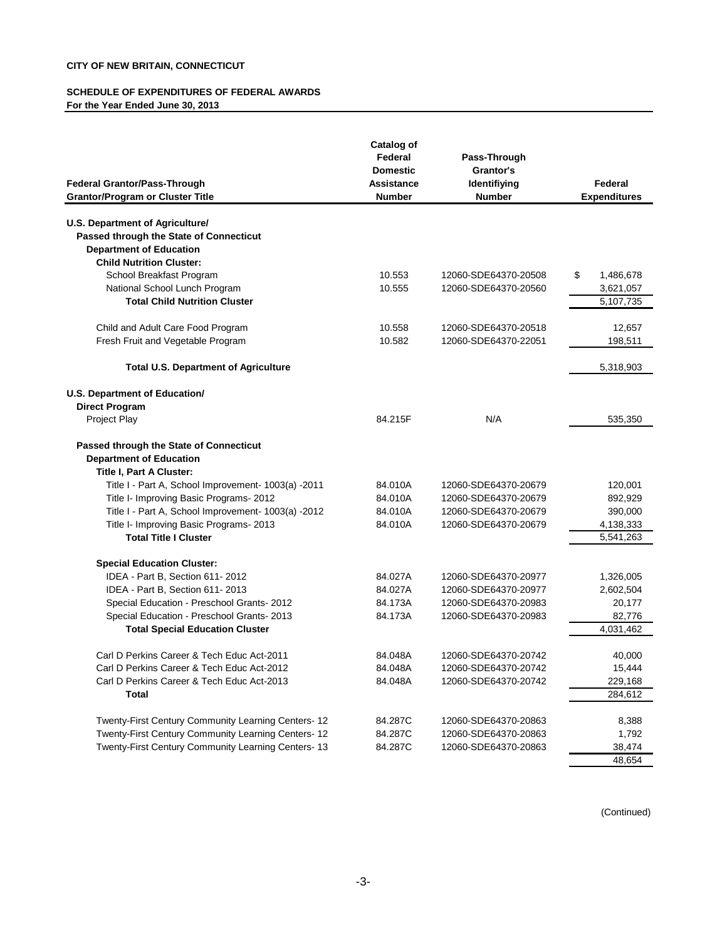#### **SCHEDULE OF EXPENDITURES OF FEDERAL AWARDS For the Year Ended June 30, 2013**

| <b>Federal Grantor/Pass-Through</b><br><b>Grantor/Program or Cluster Title</b>                 | Catalog of<br>Federal<br><b>Domestic</b><br><b>Assistance</b><br><b>Number</b> | Pass-Through<br>Grantor's<br>Identifiying<br><b>Number</b> | Federal<br><b>Expenditures</b> |
|------------------------------------------------------------------------------------------------|--------------------------------------------------------------------------------|------------------------------------------------------------|--------------------------------|
| U.S. Department of Agriculture/                                                                |                                                                                |                                                            |                                |
| Passed through the State of Connecticut                                                        |                                                                                |                                                            |                                |
| <b>Department of Education</b>                                                                 |                                                                                |                                                            |                                |
| <b>Child Nutrition Cluster:</b>                                                                |                                                                                |                                                            |                                |
| School Breakfast Program                                                                       | 10.553                                                                         | 12060-SDE64370-20508                                       | \$<br>1,486,678                |
| National School Lunch Program                                                                  | 10.555                                                                         | 12060-SDE64370-20560                                       | 3,621,057                      |
| <b>Total Child Nutrition Cluster</b>                                                           |                                                                                |                                                            | 5,107,735                      |
| Child and Adult Care Food Program                                                              | 10.558                                                                         | 12060-SDE64370-20518                                       | 12,657                         |
| Fresh Fruit and Vegetable Program                                                              | 10.582                                                                         | 12060-SDE64370-22051                                       | 198,511                        |
| <b>Total U.S. Department of Agriculture</b>                                                    |                                                                                |                                                            | 5,318,903                      |
| U.S. Department of Education/                                                                  |                                                                                |                                                            |                                |
| <b>Direct Program</b>                                                                          |                                                                                |                                                            |                                |
| <b>Project Play</b>                                                                            | 84.215F                                                                        | N/A                                                        | 535,350                        |
| Passed through the State of Connecticut<br><b>Department of Education</b>                      |                                                                                |                                                            |                                |
| Title I, Part A Cluster:                                                                       | 84.010A                                                                        | 12060-SDE64370-20679                                       |                                |
| Title I - Part A, School Improvement- 1003(a) -2011<br>Title I- Improving Basic Programs- 2012 | 84.010A                                                                        | 12060-SDE64370-20679                                       | 120,001<br>892,929             |
| Title I - Part A, School Improvement- 1003(a) -2012                                            | 84.010A                                                                        | 12060-SDE64370-20679                                       | 390,000                        |
| Title I- Improving Basic Programs- 2013                                                        | 84.010A                                                                        | 12060-SDE64370-20679                                       | 4,138,333                      |
| <b>Total Title I Cluster</b>                                                                   |                                                                                |                                                            | 5,541,263                      |
|                                                                                                |                                                                                |                                                            |                                |
| <b>Special Education Cluster:</b><br>IDEA - Part B, Section 611-2012                           | 84.027A                                                                        | 12060-SDE64370-20977                                       | 1,326,005                      |
| IDEA - Part B, Section 611-2013                                                                | 84.027A                                                                        | 12060-SDE64370-20977                                       | 2,602,504                      |
| Special Education - Preschool Grants- 2012                                                     | 84.173A                                                                        | 12060-SDE64370-20983                                       | 20,177                         |
| Special Education - Preschool Grants- 2013                                                     | 84.173A                                                                        | 12060-SDE64370-20983                                       | 82,776                         |
| <b>Total Special Education Cluster</b>                                                         |                                                                                |                                                            | 4,031,462                      |
| Carl D Perkins Career & Tech Educ Act-2011                                                     | 84.048A                                                                        | 12060-SDE64370-20742                                       | 40.000                         |
| Carl D Perkins Career & Tech Educ Act-2012                                                     | 84.048A                                                                        | 12060-SDE64370-20742                                       | 15,444                         |
| Carl D Perkins Career & Tech Educ Act-2013                                                     | 84.048A                                                                        | 12060-SDE64370-20742                                       | 229,168                        |
| Total                                                                                          |                                                                                |                                                            | 284,612                        |
| Twenty-First Century Community Learning Centers-12                                             | 84.287C                                                                        | 12060-SDE64370-20863                                       | 8,388                          |
| Twenty-First Century Community Learning Centers- 12                                            | 84.287C                                                                        | 12060-SDE64370-20863                                       | 1,792                          |
| Twenty-First Century Community Learning Centers-13                                             | 84.287C                                                                        | 12060-SDE64370-20863                                       | 38,474                         |
|                                                                                                |                                                                                |                                                            | 48,654                         |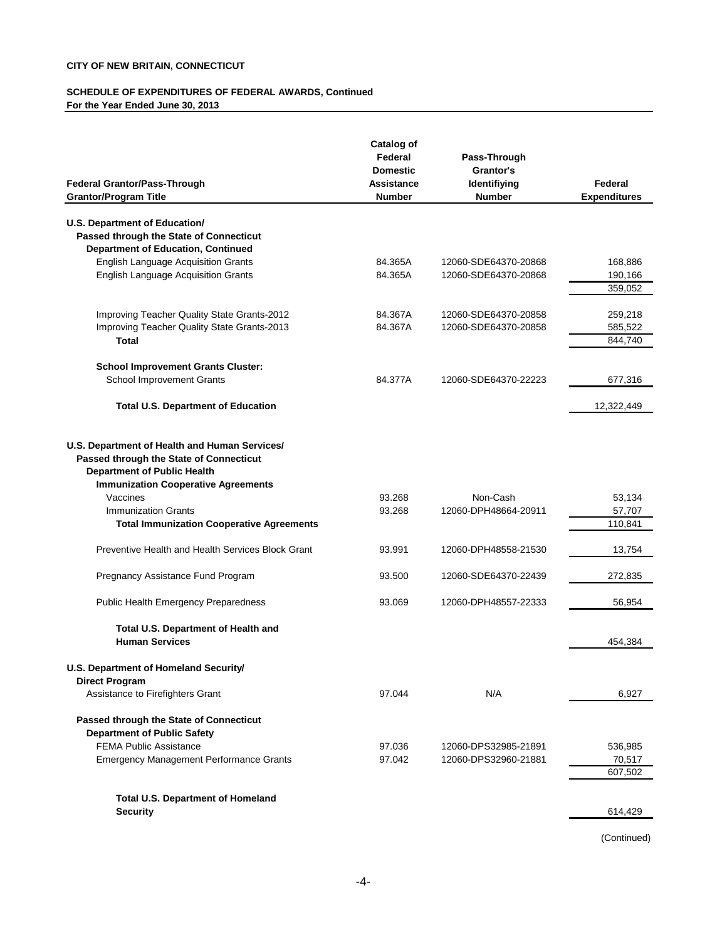#### **SCHEDULE OF EXPENDITURES OF FEDERAL AWARDS, Continued For the Year Ended June 30, 2013**

|                                                                                                                                                                              | Catalog of<br>Federal<br><b>Domestic</b> | Pass-Through<br>Grantor's                    |                                |
|------------------------------------------------------------------------------------------------------------------------------------------------------------------------------|------------------------------------------|----------------------------------------------|--------------------------------|
| <b>Federal Grantor/Pass-Through</b><br><b>Grantor/Program Title</b>                                                                                                          | <b>Assistance</b><br><b>Number</b>       | Identifiying<br><b>Number</b>                | Federal<br><b>Expenditures</b> |
|                                                                                                                                                                              |                                          |                                              |                                |
| U.S. Department of Education/                                                                                                                                                |                                          |                                              |                                |
| Passed through the State of Connecticut                                                                                                                                      |                                          |                                              |                                |
| <b>Department of Education, Continued</b><br><b>English Language Acquisition Grants</b>                                                                                      | 84.365A                                  | 12060-SDE64370-20868                         | 168,886                        |
| <b>English Language Acquisition Grants</b>                                                                                                                                   | 84.365A                                  | 12060-SDE64370-20868                         | 190,166                        |
|                                                                                                                                                                              |                                          |                                              | 359,052                        |
|                                                                                                                                                                              |                                          |                                              |                                |
| Improving Teacher Quality State Grants-2012                                                                                                                                  | 84.367A                                  | 12060-SDE64370-20858                         | 259,218                        |
| Improving Teacher Quality State Grants-2013                                                                                                                                  | 84.367A                                  | 12060-SDE64370-20858                         | 585,522                        |
| <b>Total</b>                                                                                                                                                                 |                                          |                                              | 844,740                        |
|                                                                                                                                                                              |                                          |                                              |                                |
| <b>School Improvement Grants Cluster:</b><br>School Improvement Grants                                                                                                       | 84.377A                                  | 12060-SDE64370-22223                         | 677,316                        |
|                                                                                                                                                                              |                                          |                                              |                                |
| <b>Total U.S. Department of Education</b>                                                                                                                                    |                                          |                                              | 12,322,449                     |
| U.S. Department of Health and Human Services/<br>Passed through the State of Connecticut<br><b>Department of Public Health</b><br><b>Immunization Cooperative Agreements</b> |                                          |                                              |                                |
| Vaccines<br><b>Immunization Grants</b>                                                                                                                                       | 93.268<br>93.268                         | Non-Cash<br>12060-DPH48664-20911             | 53,134<br>57,707               |
| <b>Total Immunization Cooperative Agreements</b>                                                                                                                             |                                          |                                              | 110,841                        |
|                                                                                                                                                                              |                                          |                                              |                                |
| Preventive Health and Health Services Block Grant                                                                                                                            | 93.991                                   | 12060-DPH48558-21530                         | 13,754                         |
| Pregnancy Assistance Fund Program                                                                                                                                            | 93.500                                   | 12060-SDE64370-22439                         | 272,835                        |
| Public Health Emergency Preparedness                                                                                                                                         | 93.069                                   | 12060-DPH48557-22333                         | 56,954                         |
| Total U.S. Department of Health and<br><b>Human Services</b>                                                                                                                 |                                          |                                              | 454,384                        |
| U.S. Department of Homeland Security/                                                                                                                                        |                                          |                                              |                                |
| <b>Direct Program</b><br>Assistance to Firefighters Grant                                                                                                                    | 97.044                                   | N/A                                          | 6,927                          |
|                                                                                                                                                                              |                                          |                                              |                                |
| Passed through the State of Connecticut<br><b>Department of Public Safety</b><br><b>FEMA Public Assistance</b>                                                               |                                          |                                              |                                |
| <b>Emergency Management Performance Grants</b>                                                                                                                               | 97.036<br>97.042                         | 12060-DPS32985-21891<br>12060-DPS32960-21881 | 536,985<br>70,517              |
|                                                                                                                                                                              |                                          |                                              | 607,502                        |
|                                                                                                                                                                              |                                          |                                              |                                |
| <b>Total U.S. Department of Homeland</b><br><b>Security</b>                                                                                                                  |                                          |                                              | 614,429                        |
|                                                                                                                                                                              |                                          |                                              |                                |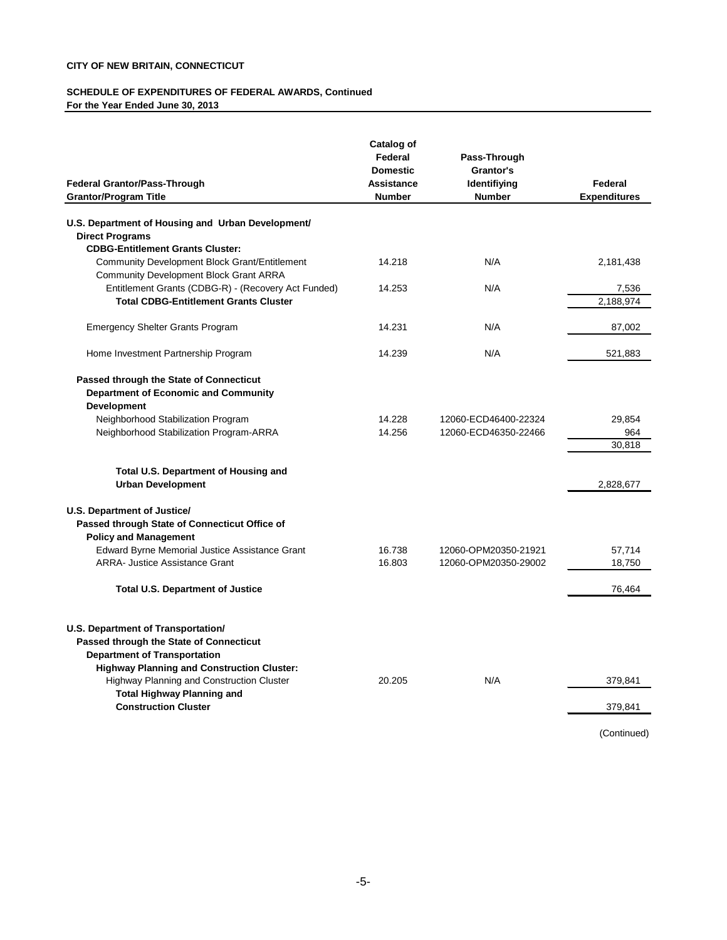#### **SCHEDULE OF EXPENDITURES OF FEDERAL AWARDS, Continued For the Year Ended June 30, 2013**

| <b>Federal Grantor/Pass-Through</b><br><b>Grantor/Program Title</b>                                                                                                                                                                                                | Catalog of<br>Federal<br><b>Domestic</b><br><b>Assistance</b><br><b>Number</b> | Pass-Through<br>Grantor's<br>Identifiying<br><b>Number</b> | Federal<br><b>Expenditures</b> |
|--------------------------------------------------------------------------------------------------------------------------------------------------------------------------------------------------------------------------------------------------------------------|--------------------------------------------------------------------------------|------------------------------------------------------------|--------------------------------|
| U.S. Department of Housing and Urban Development/                                                                                                                                                                                                                  |                                                                                |                                                            |                                |
| <b>Direct Programs</b>                                                                                                                                                                                                                                             |                                                                                |                                                            |                                |
| <b>CDBG-Entitlement Grants Cluster:</b>                                                                                                                                                                                                                            |                                                                                |                                                            |                                |
| <b>Community Development Block Grant/Entitlement</b><br><b>Community Development Block Grant ARRA</b>                                                                                                                                                              | 14.218                                                                         | N/A                                                        | 2,181,438                      |
| Entitlement Grants (CDBG-R) - (Recovery Act Funded)                                                                                                                                                                                                                | 14.253                                                                         | N/A                                                        | 7,536                          |
| <b>Total CDBG-Entitlement Grants Cluster</b>                                                                                                                                                                                                                       |                                                                                |                                                            | 2,188,974                      |
|                                                                                                                                                                                                                                                                    |                                                                                |                                                            |                                |
| <b>Emergency Shelter Grants Program</b>                                                                                                                                                                                                                            | 14.231                                                                         | N/A                                                        | 87,002                         |
| Home Investment Partnership Program                                                                                                                                                                                                                                | 14.239                                                                         | N/A                                                        | 521,883                        |
| Passed through the State of Connecticut<br><b>Department of Economic and Community</b><br><b>Development</b>                                                                                                                                                       |                                                                                |                                                            |                                |
| Neighborhood Stabilization Program                                                                                                                                                                                                                                 | 14.228                                                                         | 12060-ECD46400-22324                                       | 29,854                         |
| Neighborhood Stabilization Program-ARRA                                                                                                                                                                                                                            | 14.256                                                                         | 12060-ECD46350-22466                                       | 964                            |
|                                                                                                                                                                                                                                                                    |                                                                                |                                                            | 30,818                         |
| Total U.S. Department of Housing and<br><b>Urban Development</b>                                                                                                                                                                                                   |                                                                                |                                                            | 2,828,677                      |
| U.S. Department of Justice/                                                                                                                                                                                                                                        |                                                                                |                                                            |                                |
| Passed through State of Connecticut Office of                                                                                                                                                                                                                      |                                                                                |                                                            |                                |
| <b>Policy and Management</b>                                                                                                                                                                                                                                       |                                                                                |                                                            |                                |
| <b>Edward Byrne Memorial Justice Assistance Grant</b>                                                                                                                                                                                                              | 16.738                                                                         | 12060-OPM20350-21921                                       | 57,714                         |
| <b>ARRA- Justice Assistance Grant</b>                                                                                                                                                                                                                              | 16.803                                                                         | 12060-OPM20350-29002                                       | 18,750                         |
|                                                                                                                                                                                                                                                                    |                                                                                |                                                            |                                |
| <b>Total U.S. Department of Justice</b>                                                                                                                                                                                                                            |                                                                                |                                                            | 76,464                         |
| U.S. Department of Transportation/<br>Passed through the State of Connecticut<br><b>Department of Transportation</b><br><b>Highway Planning and Construction Cluster:</b><br><b>Highway Planning and Construction Cluster</b><br><b>Total Highway Planning and</b> | 20.205                                                                         | N/A                                                        | 379,841                        |
| <b>Construction Cluster</b>                                                                                                                                                                                                                                        |                                                                                |                                                            | 379,841                        |
|                                                                                                                                                                                                                                                                    |                                                                                |                                                            |                                |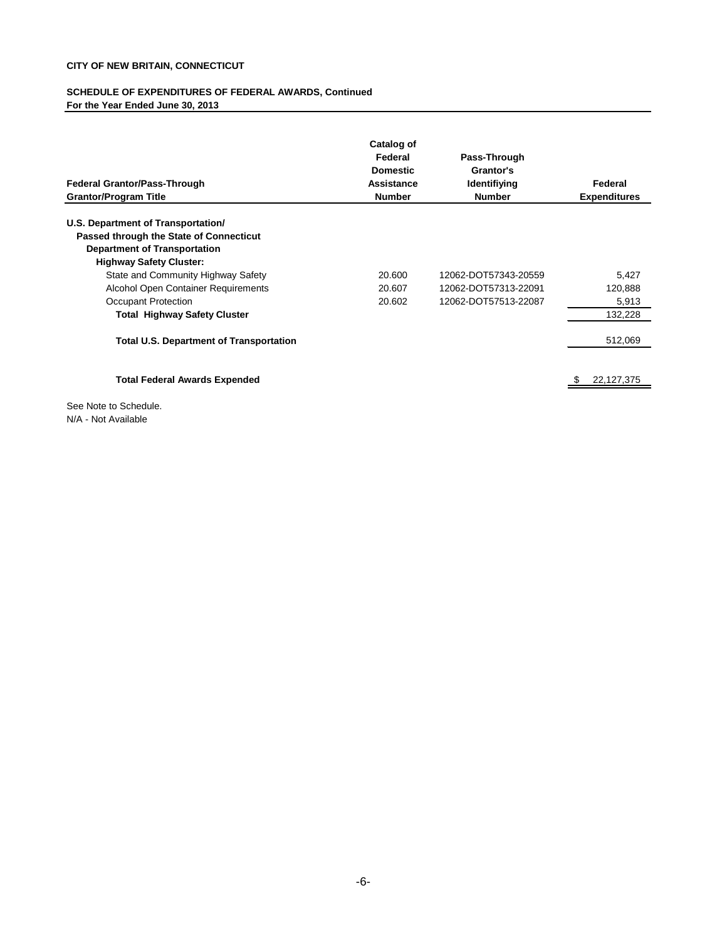#### **SCHEDULE OF EXPENDITURES OF FEDERAL AWARDS, Continued For the Year Ended June 30, 2013**

| <b>Federal Grantor/Pass-Through</b><br><b>Grantor/Program Title</b> | Catalog of<br>Federal<br><b>Domestic</b><br>Assistance<br><b>Number</b> | Pass-Through<br>Grantor's<br>Identifiying<br><b>Number</b> | Federal<br><b>Expenditures</b> |
|---------------------------------------------------------------------|-------------------------------------------------------------------------|------------------------------------------------------------|--------------------------------|
|                                                                     |                                                                         |                                                            |                                |
| U.S. Department of Transportation/                                  |                                                                         |                                                            |                                |
| Passed through the State of Connecticut                             |                                                                         |                                                            |                                |
| <b>Department of Transportation</b>                                 |                                                                         |                                                            |                                |
| <b>Highway Safety Cluster:</b>                                      |                                                                         |                                                            |                                |
| State and Community Highway Safety                                  | 20.600                                                                  | 12062-DOT57343-20559                                       | 5,427                          |
| Alcohol Open Container Requirements                                 | 20.607                                                                  | 12062-DOT57313-22091                                       | 120,888                        |
| Occupant Protection                                                 | 20.602                                                                  | 12062-DOT57513-22087                                       | 5,913                          |
| <b>Total Highway Safety Cluster</b>                                 |                                                                         |                                                            | 132,228                        |
| <b>Total U.S. Department of Transportation</b>                      |                                                                         |                                                            | 512,069                        |
|                                                                     |                                                                         |                                                            |                                |
| <b>Total Federal Awards Expended</b>                                |                                                                         |                                                            | 22,127,375                     |

See Note to Schedule. N/A - Not Available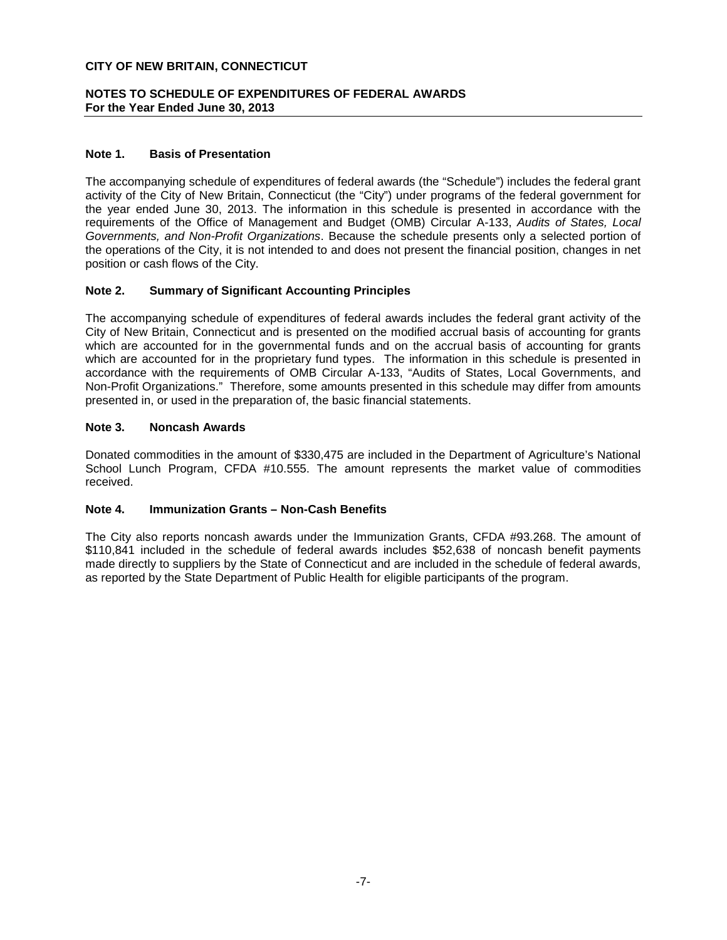# **NOTES TO SCHEDULE OF EXPENDITURES OF FEDERAL AWARDS For the Year Ended June 30, 2013**

# **Note 1. Basis of Presentation**

The accompanying schedule of expenditures of federal awards (the "Schedule") includes the federal grant activity of the City of New Britain, Connecticut (the "City") under programs of the federal government for the year ended June 30, 2013. The information in this schedule is presented in accordance with the requirements of the Office of Management and Budget (OMB) Circular A-133, *Audits of States, Local Governments, and Non-Profit Organizations*. Because the schedule presents only a selected portion of the operations of the City, it is not intended to and does not present the financial position, changes in net position or cash flows of the City.

# **Note 2. Summary of Significant Accounting Principles**

The accompanying schedule of expenditures of federal awards includes the federal grant activity of the City of New Britain, Connecticut and is presented on the modified accrual basis of accounting for grants which are accounted for in the governmental funds and on the accrual basis of accounting for grants which are accounted for in the proprietary fund types. The information in this schedule is presented in accordance with the requirements of OMB Circular A-133, "Audits of States, Local Governments, and Non-Profit Organizations." Therefore, some amounts presented in this schedule may differ from amounts presented in, or used in the preparation of, the basic financial statements.

# **Note 3. Noncash Awards**

Donated commodities in the amount of \$330,475 are included in the Department of Agriculture's National School Lunch Program, CFDA #10.555. The amount represents the market value of commodities received.

#### **Note 4. Immunization Grants – Non-Cash Benefits**

The City also reports noncash awards under the Immunization Grants, CFDA #93.268. The amount of \$110,841 included in the schedule of federal awards includes \$52,638 of noncash benefit payments made directly to suppliers by the State of Connecticut and are included in the schedule of federal awards, as reported by the State Department of Public Health for eligible participants of the program.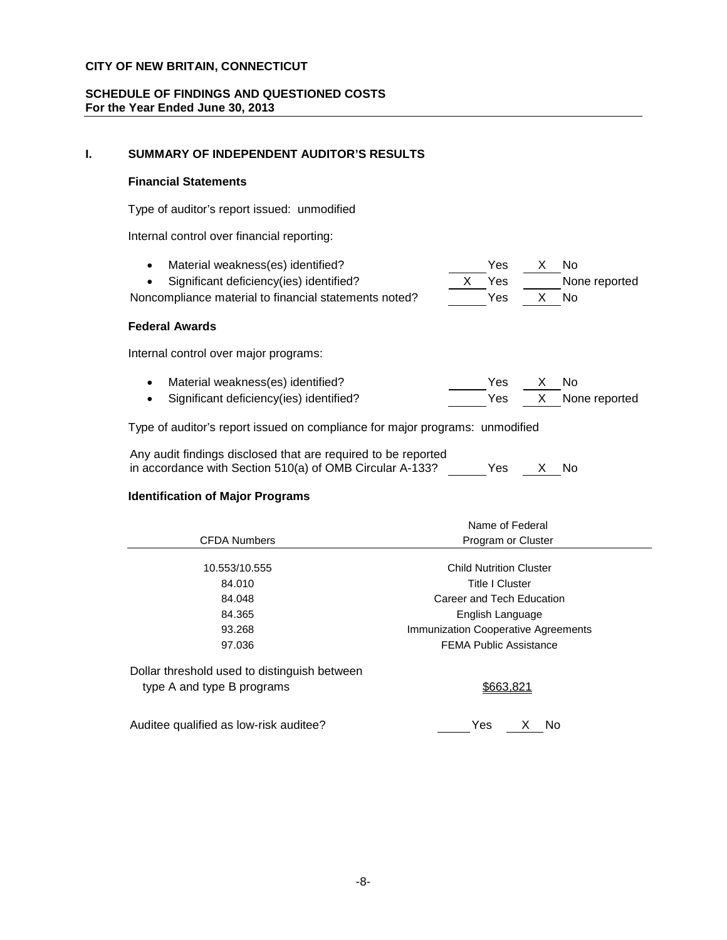# **SCHEDULE OF FINDINGS AND QUESTIONED COSTS For the Year Ended June 30, 2013**

# **I. SUMMARY OF INDEPENDENT AUDITOR'S RESULTS**

#### **Financial Statements**

Type of auditor's report issued: unmodified

Internal control over financial reporting:

| Material weakness(es) identified?                     |  | Yes |  | N۵            |
|-------------------------------------------------------|--|-----|--|---------------|
| • Significant deficiency(ies) identified?             |  | Yes |  | None reported |
| Noncompliance material to financial statements noted? |  | Yes |  | N∩            |

#### **Federal Awards**

Internal control over major programs:

- Material weakness(es) identified? The Material weakness and identified? The Material of Material Material of Material Material Material Material Material Material Material Material Material Material Material Material Mat • Significant deficiency(ies) identified? Yes X None reported
- 

Type of auditor's report issued on compliance for major programs: unmodified

| Any audit findings disclosed that are required to be reported |     |              |      |
|---------------------------------------------------------------|-----|--------------|------|
| in accordance with Section 510(a) of OMB Circular A-133?      | Yes | $\mathbf{X}$ | – No |

# **Identification of Major Programs**

|                                                                            | Name of Federal                            |
|----------------------------------------------------------------------------|--------------------------------------------|
| <b>CFDA Numbers</b>                                                        | Program or Cluster                         |
|                                                                            |                                            |
| 10.553/10.555                                                              | <b>Child Nutrition Cluster</b>             |
| 84.010                                                                     | Title I Cluster                            |
| 84.048                                                                     | Career and Tech Education                  |
| 84.365                                                                     | English Language                           |
| 93.268                                                                     | <b>Immunization Cooperative Agreements</b> |
| 97.036                                                                     | <b>FEMA Public Assistance</b>              |
| Dollar threshold used to distinguish between<br>type A and type B programs | \$663.821                                  |
| Auditee qualified as low-risk auditee?                                     | Yes<br>No                                  |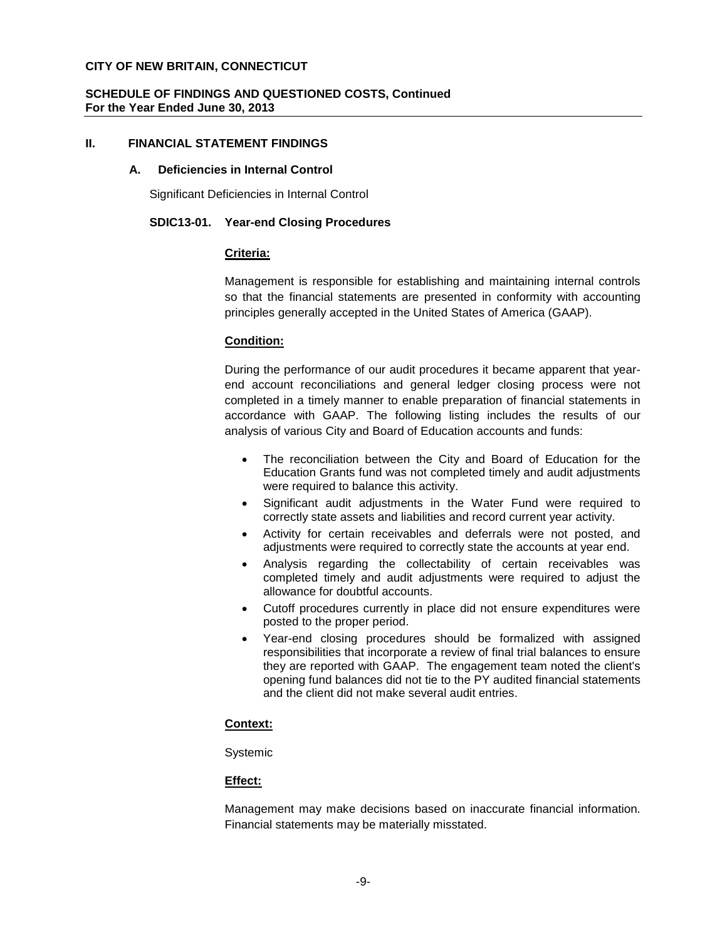#### **SCHEDULE OF FINDINGS AND QUESTIONED COSTS, Continued For the Year Ended June 30, 2013**

# **II. FINANCIAL STATEMENT FINDINGS**

#### **A. Deficiencies in Internal Control**

Significant Deficiencies in Internal Control

#### **SDIC13-01. Year-end Closing Procedures**

#### **Criteria:**

Management is responsible for establishing and maintaining internal controls so that the financial statements are presented in conformity with accounting principles generally accepted in the United States of America (GAAP).

#### **Condition:**

During the performance of our audit procedures it became apparent that yearend account reconciliations and general ledger closing process were not completed in a timely manner to enable preparation of financial statements in accordance with GAAP. The following listing includes the results of our analysis of various City and Board of Education accounts and funds:

- The reconciliation between the City and Board of Education for the Education Grants fund was not completed timely and audit adjustments were required to balance this activity.
- Significant audit adjustments in the Water Fund were required to correctly state assets and liabilities and record current year activity.
- Activity for certain receivables and deferrals were not posted, and adjustments were required to correctly state the accounts at year end.
- Analysis regarding the collectability of certain receivables was completed timely and audit adjustments were required to adjust the allowance for doubtful accounts.
- Cutoff procedures currently in place did not ensure expenditures were posted to the proper period.
- Year-end closing procedures should be formalized with assigned responsibilities that incorporate a review of final trial balances to ensure they are reported with GAAP. The engagement team noted the client's opening fund balances did not tie to the PY audited financial statements and the client did not make several audit entries.

#### **Context:**

Systemic

# **Effect:**

Management may make decisions based on inaccurate financial information. Financial statements may be materially misstated.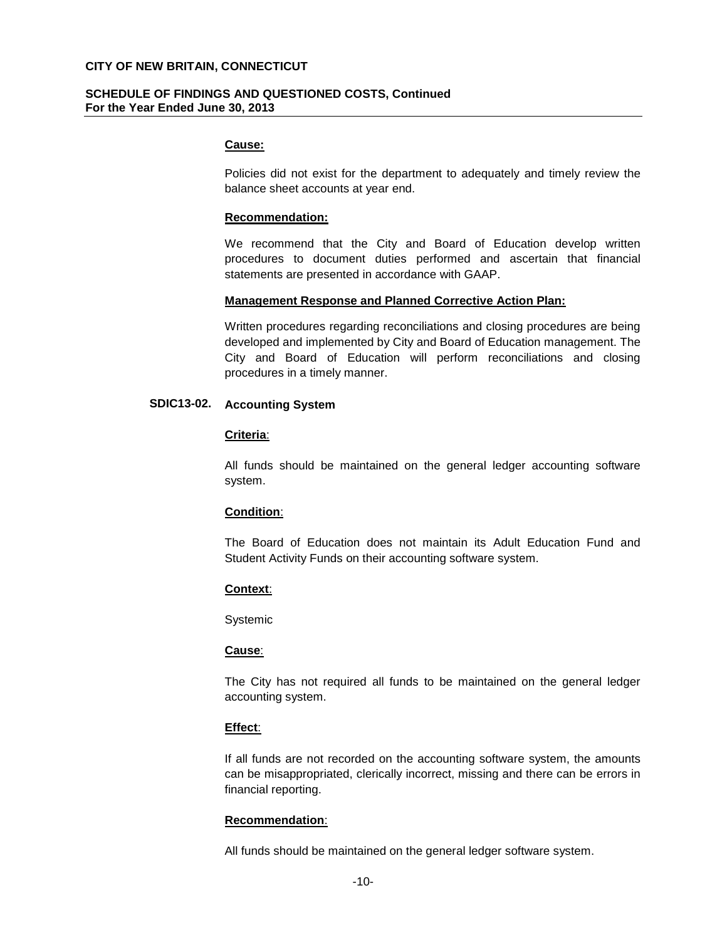#### **SCHEDULE OF FINDINGS AND QUESTIONED COSTS, Continued For the Year Ended June 30, 2013**

# **Cause:**

Policies did not exist for the department to adequately and timely review the balance sheet accounts at year end.

#### **Recommendation:**

We recommend that the City and Board of Education develop written procedures to document duties performed and ascertain that financial statements are presented in accordance with GAAP.

#### **Management Response and Planned Corrective Action Plan:**

Written procedures regarding reconciliations and closing procedures are being developed and implemented by City and Board of Education management. The City and Board of Education will perform reconciliations and closing procedures in a timely manner.

# **SDIC13-02. Accounting System**

#### **Criteria**:

All funds should be maintained on the general ledger accounting software system.

#### **Condition**:

The Board of Education does not maintain its Adult Education Fund and Student Activity Funds on their accounting software system.

#### **Context**:

Systemic

#### **Cause**:

The City has not required all funds to be maintained on the general ledger accounting system.

#### **Effect**:

If all funds are not recorded on the accounting software system, the amounts can be misappropriated, clerically incorrect, missing and there can be errors in financial reporting.

#### **Recommendation**:

All funds should be maintained on the general ledger software system.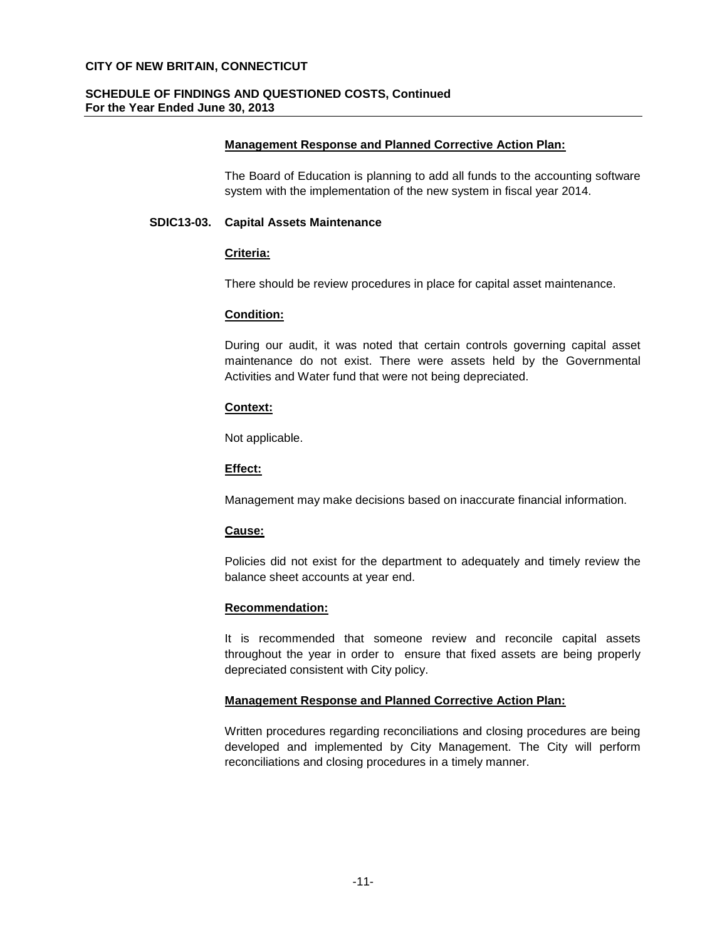# **SCHEDULE OF FINDINGS AND QUESTIONED COSTS, Continued For the Year Ended June 30, 2013**

# **Management Response and Planned Corrective Action Plan:**

The Board of Education is planning to add all funds to the accounting software system with the implementation of the new system in fiscal year 2014.

# **SDIC13-03. Capital Assets Maintenance**

# **Criteria:**

There should be review procedures in place for capital asset maintenance.

#### **Condition:**

During our audit, it was noted that certain controls governing capital asset maintenance do not exist. There were assets held by the Governmental Activities and Water fund that were not being depreciated.

# **Context:**

Not applicable.

# **Effect:**

Management may make decisions based on inaccurate financial information.

#### **Cause:**

Policies did not exist for the department to adequately and timely review the balance sheet accounts at year end.

#### **Recommendation:**

It is recommended that someone review and reconcile capital assets throughout the year in order to ensure that fixed assets are being properly depreciated consistent with City policy.

#### **Management Response and Planned Corrective Action Plan:**

Written procedures regarding reconciliations and closing procedures are being developed and implemented by City Management. The City will perform reconciliations and closing procedures in a timely manner.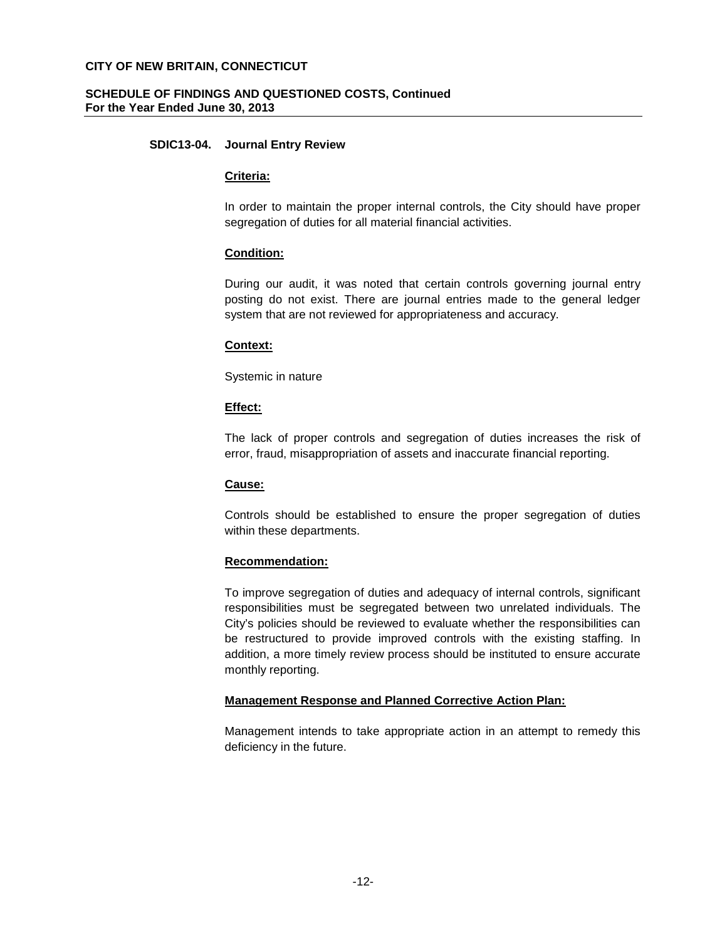#### **SCHEDULE OF FINDINGS AND QUESTIONED COSTS, Continued For the Year Ended June 30, 2013**

#### **SDIC13-04. Journal Entry Review**

#### **Criteria:**

In order to maintain the proper internal controls, the City should have proper segregation of duties for all material financial activities.

#### **Condition:**

During our audit, it was noted that certain controls governing journal entry posting do not exist. There are journal entries made to the general ledger system that are not reviewed for appropriateness and accuracy.

#### **Context:**

Systemic in nature

#### **Effect:**

The lack of proper controls and segregation of duties increases the risk of error, fraud, misappropriation of assets and inaccurate financial reporting.

#### **Cause:**

Controls should be established to ensure the proper segregation of duties within these departments.

#### **Recommendation:**

To improve segregation of duties and adequacy of internal controls, significant responsibilities must be segregated between two unrelated individuals. The City's policies should be reviewed to evaluate whether the responsibilities can be restructured to provide improved controls with the existing staffing. In addition, a more timely review process should be instituted to ensure accurate monthly reporting.

#### **Management Response and Planned Corrective Action Plan:**

Management intends to take appropriate action in an attempt to remedy this deficiency in the future.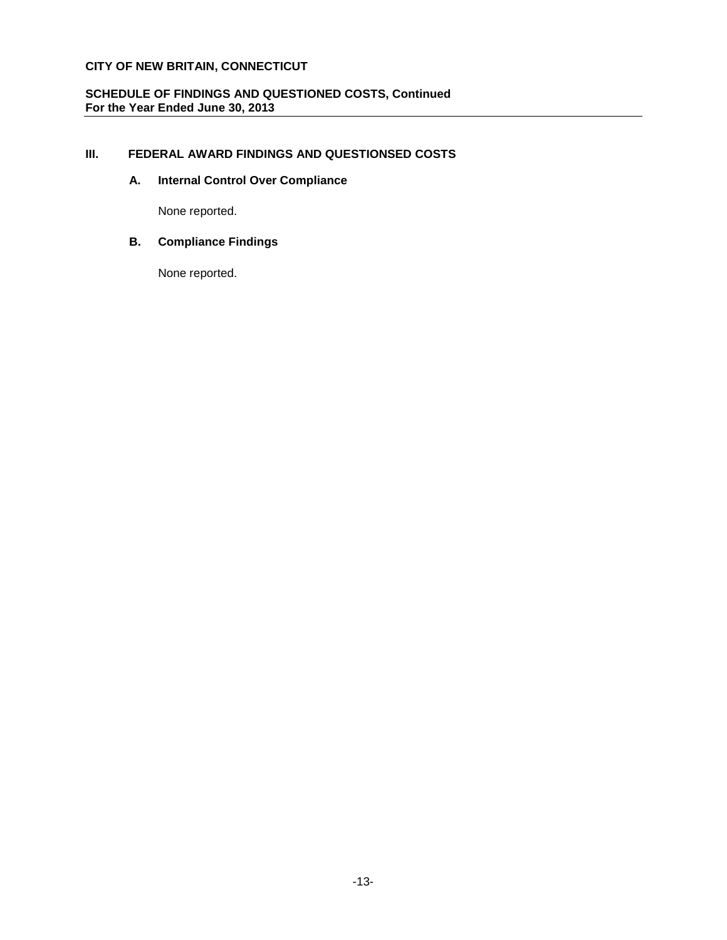# **SCHEDULE OF FINDINGS AND QUESTIONED COSTS, Continued For the Year Ended June 30, 2013**

# **III. FEDERAL AWARD FINDINGS AND QUESTIONSED COSTS**

# **A. Internal Control Over Compliance**

None reported.

# **B. Compliance Findings**

None reported.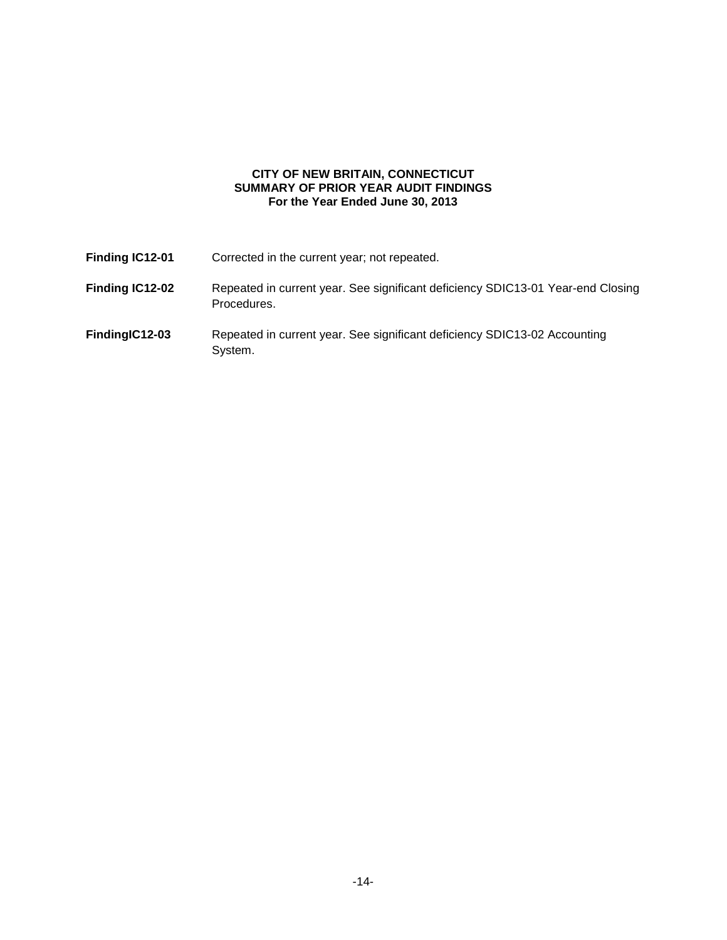# **CITY OF NEW BRITAIN, CONNECTICUT SUMMARY OF PRIOR YEAR AUDIT FINDINGS For the Year Ended June 30, 2013**

| Finding IC12-01        | Corrected in the current year; not repeated.                                                   |
|------------------------|------------------------------------------------------------------------------------------------|
| <b>Finding IC12-02</b> | Repeated in current year. See significant deficiency SDIC13-01 Year-end Closing<br>Procedures. |
| FindingIC12-03         | Repeated in current year. See significant deficiency SDIC13-02 Accounting<br>System.           |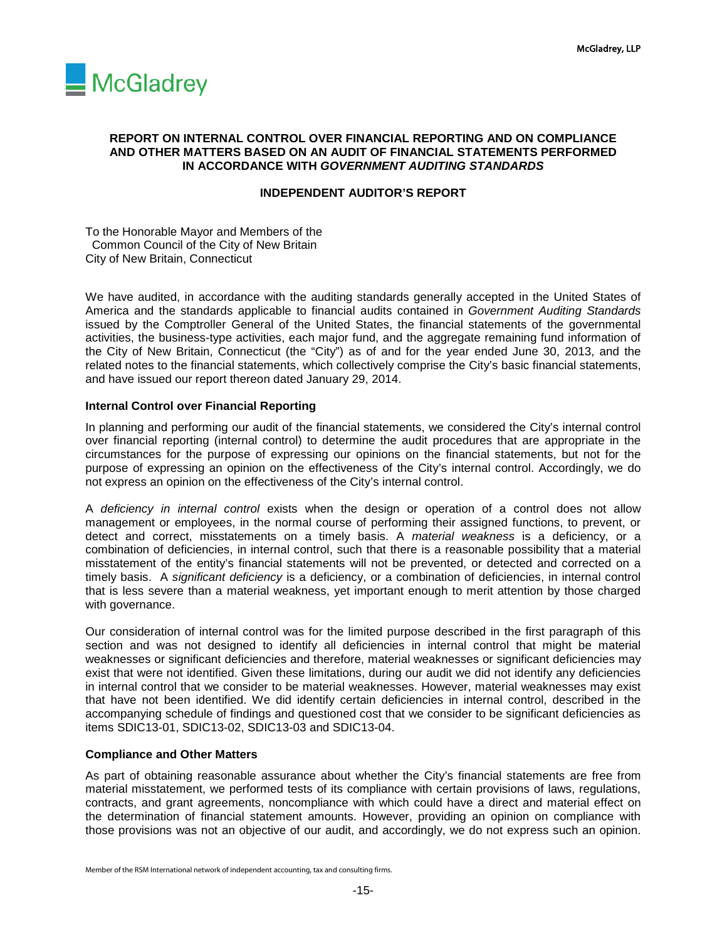

#### **REPORT ON INTERNAL CONTROL OVER FINANCIAL REPORTING AND ON COMPLIANCE AND OTHER MATTERS BASED ON AN AUDIT OF FINANCIAL STATEMENTS PERFORMED IN ACCORDANCE WITH** *GOVERNMENT AUDITING STANDARDS*

# **INDEPENDENT AUDITOR'S REPORT**

To the Honorable Mayor and Members of the Common Council of the City of New Britain City of New Britain, Connecticut

We have audited, in accordance with the auditing standards generally accepted in the United States of America and the standards applicable to financial audits contained in *Government Auditing Standards* issued by the Comptroller General of the United States, the financial statements of the governmental activities, the business-type activities, each major fund, and the aggregate remaining fund information of the City of New Britain, Connecticut (the "City") as of and for the year ended June 30, 2013, and the related notes to the financial statements, which collectively comprise the City's basic financial statements, and have issued our report thereon dated January 29, 2014.

#### **Internal Control over Financial Reporting**

In planning and performing our audit of the financial statements, we considered the City's internal control over financial reporting (internal control) to determine the audit procedures that are appropriate in the circumstances for the purpose of expressing our opinions on the financial statements, but not for the purpose of expressing an opinion on the effectiveness of the City's internal control. Accordingly, we do not express an opinion on the effectiveness of the City's internal control.

A *deficiency in internal control* exists when the design or operation of a control does not allow management or employees, in the normal course of performing their assigned functions, to prevent, or detect and correct, misstatements on a timely basis. A *material weakness* is a deficiency, or a combination of deficiencies, in internal control, such that there is a reasonable possibility that a material misstatement of the entity's financial statements will not be prevented, or detected and corrected on a timely basis. A *significant deficiency* is a deficiency, or a combination of deficiencies, in internal control that is less severe than a material weakness, yet important enough to merit attention by those charged with governance.

Our consideration of internal control was for the limited purpose described in the first paragraph of this section and was not designed to identify all deficiencies in internal control that might be material weaknesses or significant deficiencies and therefore, material weaknesses or significant deficiencies may exist that were not identified. Given these limitations, during our audit we did not identify any deficiencies in internal control that we consider to be material weaknesses. However, material weaknesses may exist that have not been identified. We did identify certain deficiencies in internal control, described in the accompanying schedule of findings and questioned cost that we consider to be significant deficiencies as items SDIC13-01, SDIC13-02, SDIC13-03 and SDIC13-04.

#### **Compliance and Other Matters**

As part of obtaining reasonable assurance about whether the City's financial statements are free from material misstatement, we performed tests of its compliance with certain provisions of laws, regulations, contracts, and grant agreements, noncompliance with which could have a direct and material effect on the determination of financial statement amounts. However, providing an opinion on compliance with those provisions was not an objective of our audit, and accordingly, we do not express such an opinion.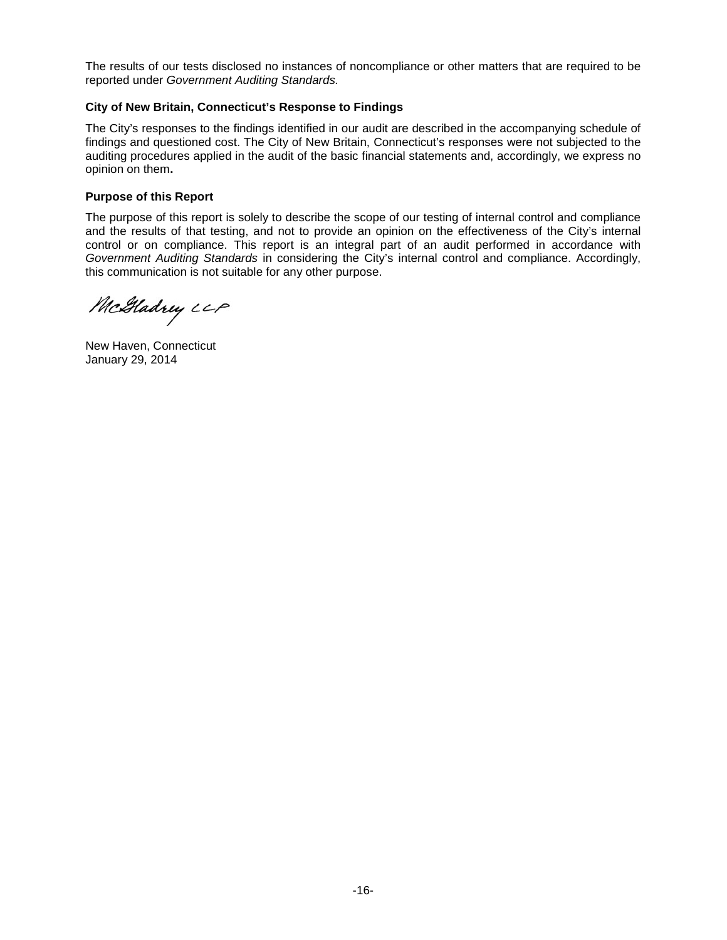The results of our tests disclosed no instances of noncompliance or other matters that are required to be reported under *Government Auditing Standards.*

# **City of New Britain, Connecticut's Response to Findings**

The City's responses to the findings identified in our audit are described in the accompanying schedule of findings and questioned cost. The City of New Britain, Connecticut's responses were not subjected to the auditing procedures applied in the audit of the basic financial statements and, accordingly, we express no opinion on them**.**

# **Purpose of this Report**

The purpose of this report is solely to describe the scope of our testing of internal control and compliance and the results of that testing, and not to provide an opinion on the effectiveness of the City's internal control or on compliance. This report is an integral part of an audit performed in accordance with *Government Auditing Standards* in considering the City's internal control and compliance. Accordingly, this communication is not suitable for any other purpose.

McHadrey LLP

New Haven, Connecticut January 29, 2014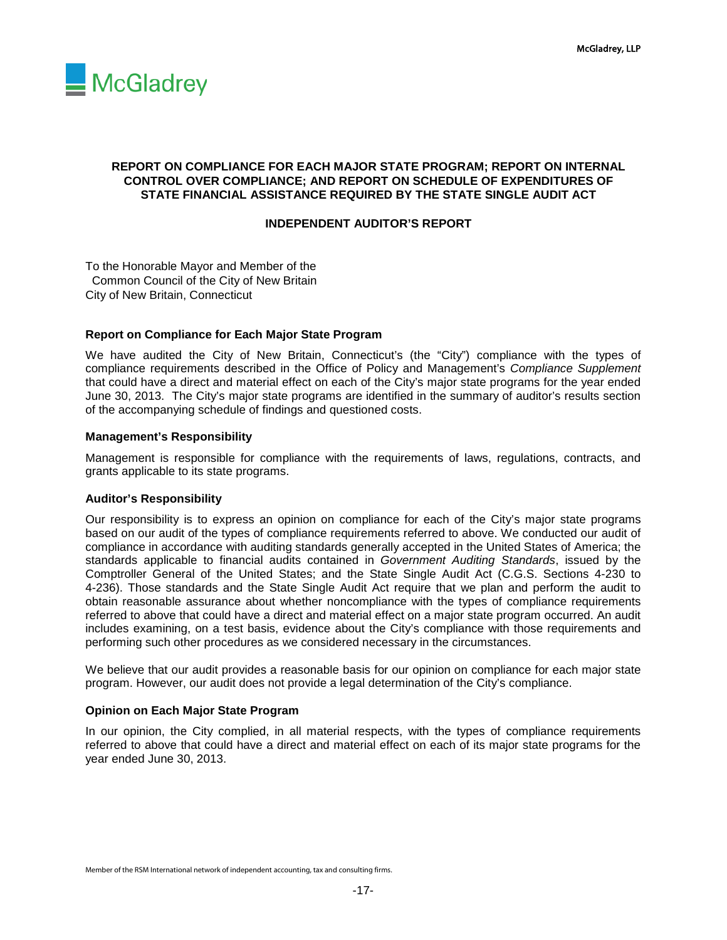

# **REPORT ON COMPLIANCE FOR EACH MAJOR STATE PROGRAM; REPORT ON INTERNAL CONTROL OVER COMPLIANCE; AND REPORT ON SCHEDULE OF EXPENDITURES OF STATE FINANCIAL ASSISTANCE REQUIRED BY THE STATE SINGLE AUDIT ACT**

# **INDEPENDENT AUDITOR'S REPORT**

To the Honorable Mayor and Member of the Common Council of the City of New Britain City of New Britain, Connecticut

### **Report on Compliance for Each Major State Program**

We have audited the City of New Britain, Connecticut's (the "City") compliance with the types of compliance requirements described in the Office of Policy and Management's *Compliance Supplement* that could have a direct and material effect on each of the City's major state programs for the year ended June 30, 2013. The City's major state programs are identified in the summary of auditor's results section of the accompanying schedule of findings and questioned costs.

# **Management's Responsibility**

Management is responsible for compliance with the requirements of laws, regulations, contracts, and grants applicable to its state programs.

#### **Auditor's Responsibility**

Our responsibility is to express an opinion on compliance for each of the City's major state programs based on our audit of the types of compliance requirements referred to above. We conducted our audit of compliance in accordance with auditing standards generally accepted in the United States of America; the standards applicable to financial audits contained in *Government Auditing Standards*, issued by the Comptroller General of the United States; and the State Single Audit Act (C.G.S. Sections 4-230 to 4-236). Those standards and the State Single Audit Act require that we plan and perform the audit to obtain reasonable assurance about whether noncompliance with the types of compliance requirements referred to above that could have a direct and material effect on a major state program occurred. An audit includes examining, on a test basis, evidence about the City's compliance with those requirements and performing such other procedures as we considered necessary in the circumstances.

We believe that our audit provides a reasonable basis for our opinion on compliance for each major state program. However, our audit does not provide a legal determination of the City's compliance.

#### **Opinion on Each Major State Program**

In our opinion, the City complied, in all material respects, with the types of compliance requirements referred to above that could have a direct and material effect on each of its major state programs for the year ended June 30, 2013.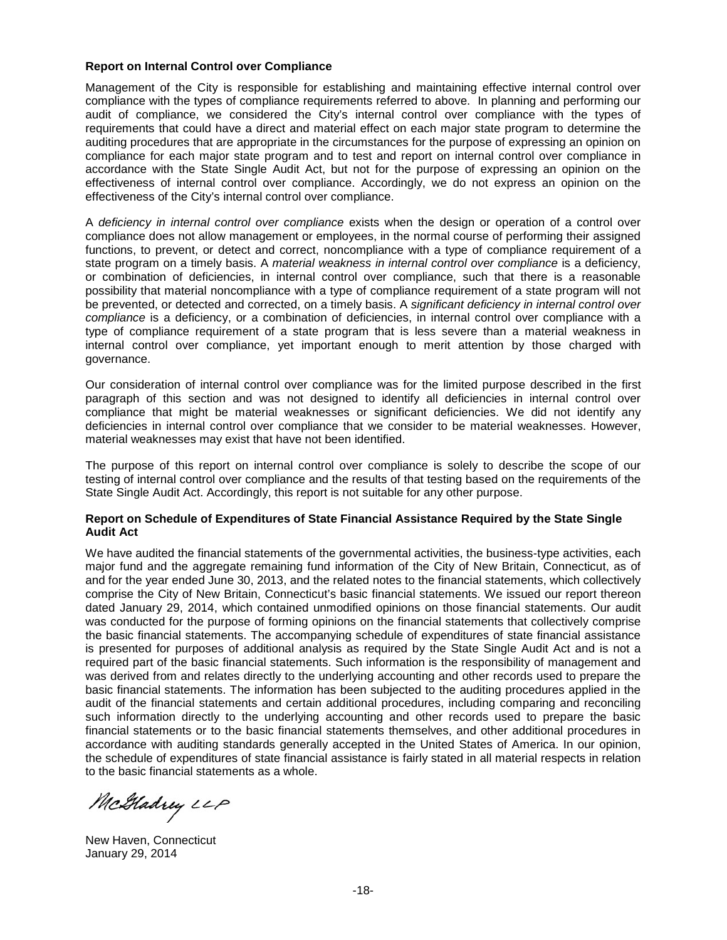#### **Report on Internal Control over Compliance**

Management of the City is responsible for establishing and maintaining effective internal control over compliance with the types of compliance requirements referred to above. In planning and performing our audit of compliance, we considered the City's internal control over compliance with the types of requirements that could have a direct and material effect on each major state program to determine the auditing procedures that are appropriate in the circumstances for the purpose of expressing an opinion on compliance for each major state program and to test and report on internal control over compliance in accordance with the State Single Audit Act, but not for the purpose of expressing an opinion on the effectiveness of internal control over compliance. Accordingly, we do not express an opinion on the effectiveness of the City's internal control over compliance.

A *deficiency in internal control over compliance* exists when the design or operation of a control over compliance does not allow management or employees, in the normal course of performing their assigned functions, to prevent, or detect and correct, noncompliance with a type of compliance requirement of a state program on a timely basis. A *material weakness in internal control over compliance* is a deficiency, or combination of deficiencies, in internal control over compliance, such that there is a reasonable possibility that material noncompliance with a type of compliance requirement of a state program will not be prevented, or detected and corrected, on a timely basis. A *significant deficiency in internal control over compliance* is a deficiency, or a combination of deficiencies, in internal control over compliance with a type of compliance requirement of a state program that is less severe than a material weakness in internal control over compliance, yet important enough to merit attention by those charged with governance.

Our consideration of internal control over compliance was for the limited purpose described in the first paragraph of this section and was not designed to identify all deficiencies in internal control over compliance that might be material weaknesses or significant deficiencies. We did not identify any deficiencies in internal control over compliance that we consider to be material weaknesses. However, material weaknesses may exist that have not been identified.

The purpose of this report on internal control over compliance is solely to describe the scope of our testing of internal control over compliance and the results of that testing based on the requirements of the State Single Audit Act. Accordingly, this report is not suitable for any other purpose.

#### **Report on Schedule of Expenditures of State Financial Assistance Required by the State Single Audit Act**

We have audited the financial statements of the governmental activities, the business-type activities, each major fund and the aggregate remaining fund information of the City of New Britain, Connecticut, as of and for the year ended June 30, 2013, and the related notes to the financial statements, which collectively comprise the City of New Britain, Connecticut's basic financial statements. We issued our report thereon dated January 29, 2014, which contained unmodified opinions on those financial statements. Our audit was conducted for the purpose of forming opinions on the financial statements that collectively comprise the basic financial statements. The accompanying schedule of expenditures of state financial assistance is presented for purposes of additional analysis as required by the State Single Audit Act and is not a required part of the basic financial statements. Such information is the responsibility of management and was derived from and relates directly to the underlying accounting and other records used to prepare the basic financial statements. The information has been subjected to the auditing procedures applied in the audit of the financial statements and certain additional procedures, including comparing and reconciling such information directly to the underlying accounting and other records used to prepare the basic financial statements or to the basic financial statements themselves, and other additional procedures in accordance with auditing standards generally accepted in the United States of America. In our opinion, the schedule of expenditures of state financial assistance is fairly stated in all material respects in relation to the basic financial statements as a whole.

McHadrey LLP

New Haven, Connecticut January 29, 2014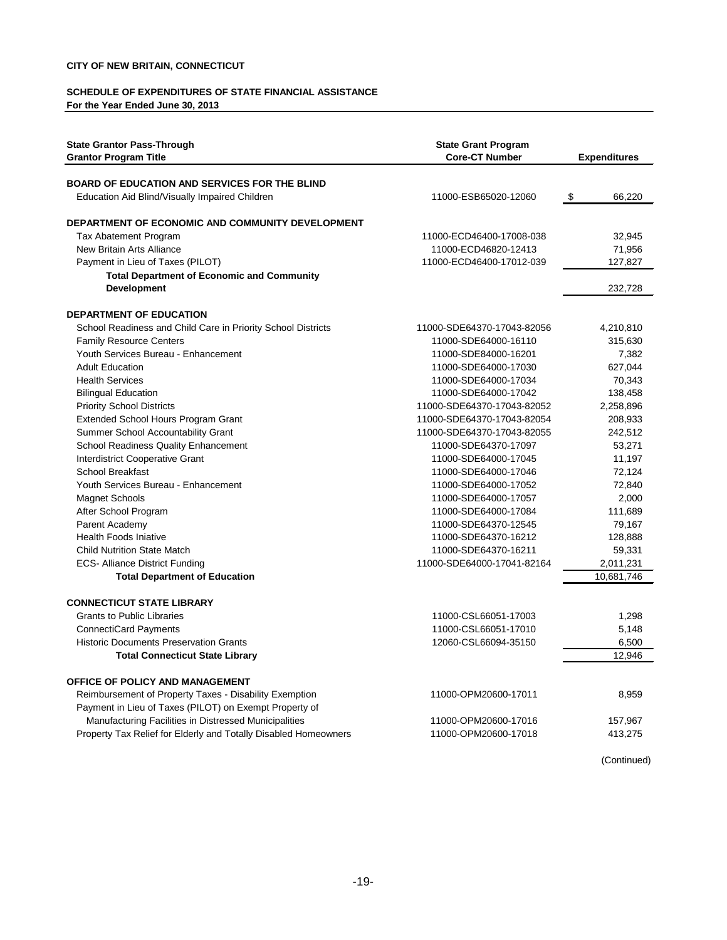#### **SCHEDULE OF EXPENDITURES OF STATE FINANCIAL ASSISTANCE For the Year Ended June 30, 2013**

| <b>State Grantor Pass-Through</b>                                                                      | <b>State Grant Program</b>                   |                         |
|--------------------------------------------------------------------------------------------------------|----------------------------------------------|-------------------------|
| <b>Grantor Program Title</b>                                                                           | <b>Core-CT Number</b>                        | <b>Expenditures</b>     |
|                                                                                                        |                                              |                         |
| <b>BOARD OF EDUCATION AND SERVICES FOR THE BLIND</b><br>Education Aid Blind/Visually Impaired Children |                                              |                         |
|                                                                                                        | 11000-ESB65020-12060                         | \$<br>66,220            |
| DEPARTMENT OF ECONOMIC AND COMMUNITY DEVELOPMENT                                                       |                                              |                         |
| Tax Abatement Program                                                                                  | 11000-ECD46400-17008-038                     | 32,945                  |
| <b>New Britain Arts Alliance</b>                                                                       | 11000-ECD46820-12413                         | 71,956                  |
| Payment in Lieu of Taxes (PILOT)                                                                       | 11000-ECD46400-17012-039                     | 127,827                 |
| <b>Total Department of Economic and Community</b>                                                      |                                              |                         |
| Development                                                                                            |                                              | 232,728                 |
| <b>DEPARTMENT OF EDUCATION</b>                                                                         |                                              |                         |
| School Readiness and Child Care in Priority School Districts                                           | 11000-SDE64370-17043-82056                   | 4,210,810               |
| <b>Family Resource Centers</b>                                                                         | 11000-SDE64000-16110                         | 315,630                 |
| Youth Services Bureau - Enhancement                                                                    | 11000-SDE84000-16201                         | 7,382                   |
| <b>Adult Education</b>                                                                                 | 11000-SDE64000-17030                         | 627,044                 |
| <b>Health Services</b>                                                                                 | 11000-SDE64000-17034                         | 70,343                  |
| <b>Bilingual Education</b>                                                                             | 11000-SDE64000-17042                         | 138,458                 |
| <b>Priority School Districts</b>                                                                       | 11000-SDE64370-17043-82052                   | 2,258,896               |
| Extended School Hours Program Grant                                                                    | 11000-SDE64370-17043-82054                   | 208,933                 |
| Summer School Accountability Grant                                                                     | 11000-SDE64370-17043-82055                   | 242,512                 |
| School Readiness Quality Enhancement                                                                   | 11000-SDE64370-17097                         | 53,271                  |
| Interdistrict Cooperative Grant                                                                        | 11000-SDE64000-17045                         | 11,197                  |
| <b>School Breakfast</b>                                                                                | 11000-SDE64000-17046                         | 72,124                  |
| Youth Services Bureau - Enhancement                                                                    | 11000-SDE64000-17052                         | 72,840                  |
|                                                                                                        |                                              |                         |
| <b>Magnet Schools</b>                                                                                  | 11000-SDE64000-17057                         | 2,000<br>111,689        |
| After School Program                                                                                   | 11000-SDE64000-17084                         |                         |
| Parent Academy<br><b>Health Foods Iniative</b>                                                         | 11000-SDE64370-12545<br>11000-SDE64370-16212 | 79,167                  |
| <b>Child Nutrition State Match</b>                                                                     | 11000-SDE64370-16211                         | 128,888                 |
|                                                                                                        |                                              | 59,331                  |
| <b>ECS-Alliance District Funding</b>                                                                   | 11000-SDE64000-17041-82164                   | 2,011,231<br>10,681,746 |
| <b>Total Department of Education</b>                                                                   |                                              |                         |
| <b>CONNECTICUT STATE LIBRARY</b>                                                                       |                                              |                         |
| <b>Grants to Public Libraries</b>                                                                      | 11000-CSL66051-17003                         | 1,298                   |
| <b>ConnectiCard Payments</b>                                                                           | 11000-CSL66051-17010                         | 5,148                   |
| <b>Historic Documents Preservation Grants</b>                                                          | 12060-CSL66094-35150                         | 6,500                   |
| <b>Total Connecticut State Library</b>                                                                 |                                              | 12,946                  |
| <b>OFFICE OF POLICY AND MANAGEMENT</b>                                                                 |                                              |                         |
| Reimbursement of Property Taxes - Disability Exemption                                                 | 11000-OPM20600-17011                         | 8,959                   |
| Payment in Lieu of Taxes (PILOT) on Exempt Property of                                                 |                                              |                         |
| Manufacturing Facilities in Distressed Municipalities                                                  | 11000-OPM20600-17016                         | 157,967                 |
| Property Tax Relief for Elderly and Totally Disabled Homeowners                                        | 11000-OPM20600-17018                         | 413,275                 |
|                                                                                                        |                                              | (Continued)             |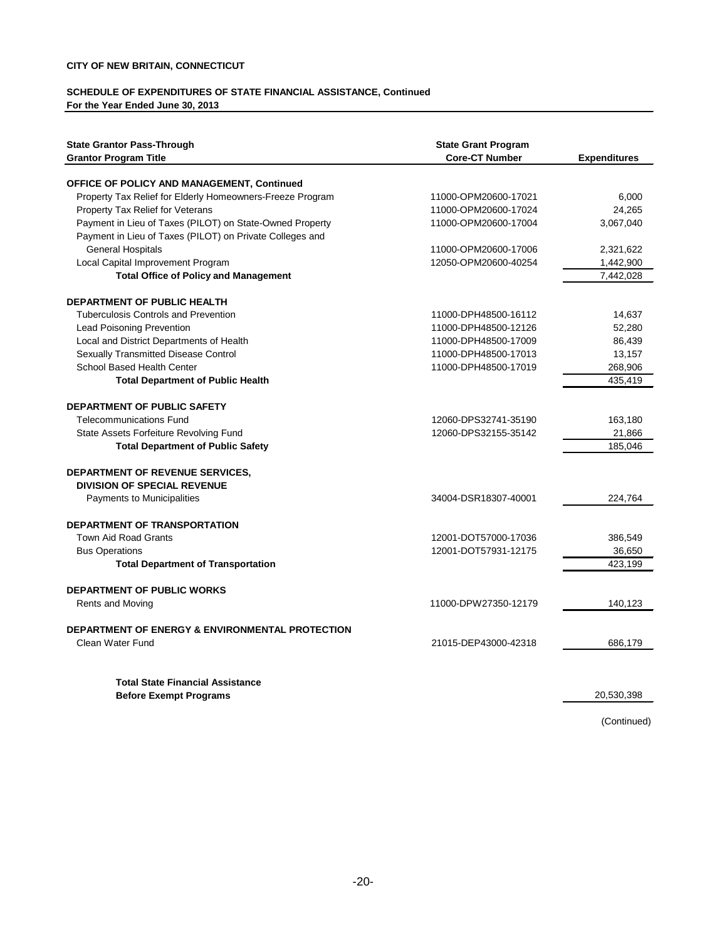#### **SCHEDULE OF EXPENDITURES OF STATE FINANCIAL ASSISTANCE, Continued For the Year Ended June 30, 2013**

| <b>State Grantor Pass-Through</b><br><b>Grantor Program Title</b> | <b>State Grant Program</b><br><b>Core-CT Number</b> | <b>Expenditures</b> |
|-------------------------------------------------------------------|-----------------------------------------------------|---------------------|
|                                                                   |                                                     |                     |
| OFFICE OF POLICY AND MANAGEMENT, Continued                        |                                                     |                     |
| Property Tax Relief for Elderly Homeowners-Freeze Program         | 11000-OPM20600-17021                                | 6,000               |
| Property Tax Relief for Veterans                                  | 11000-OPM20600-17024                                | 24,265              |
| Payment in Lieu of Taxes (PILOT) on State-Owned Property          | 11000-OPM20600-17004                                | 3,067,040           |
| Payment in Lieu of Taxes (PILOT) on Private Colleges and          |                                                     |                     |
| <b>General Hospitals</b>                                          | 11000-OPM20600-17006                                | 2,321,622           |
| Local Capital Improvement Program                                 | 12050-OPM20600-40254                                | 1,442,900           |
| <b>Total Office of Policy and Management</b>                      |                                                     | 7,442,028           |
| DEPARTMENT OF PUBLIC HEALTH                                       |                                                     |                     |
| <b>Tuberculosis Controls and Prevention</b>                       | 11000-DPH48500-16112                                | 14,637              |
| <b>Lead Poisoning Prevention</b>                                  | 11000-DPH48500-12126                                | 52,280              |
| Local and District Departments of Health                          | 11000-DPH48500-17009                                | 86,439              |
| Sexually Transmitted Disease Control                              | 11000-DPH48500-17013                                | 13,157              |
| School Based Health Center                                        | 11000-DPH48500-17019                                | 268,906             |
| <b>Total Department of Public Health</b>                          |                                                     | 435,419             |
| DEPARTMENT OF PUBLIC SAFETY                                       |                                                     |                     |
| <b>Telecommunications Fund</b>                                    | 12060-DPS32741-35190                                |                     |
| State Assets Forfeiture Revolving Fund                            | 12060-DPS32155-35142                                | 163,180<br>21,866   |
|                                                                   |                                                     |                     |
| <b>Total Department of Public Safety</b>                          |                                                     | 185,046             |
| DEPARTMENT OF REVENUE SERVICES,                                   |                                                     |                     |
| <b>DIVISION OF SPECIAL REVENUE</b>                                |                                                     |                     |
| Payments to Municipalities                                        | 34004-DSR18307-40001                                | 224,764             |
| <b>DEPARTMENT OF TRANSPORTATION</b>                               |                                                     |                     |
| Town Aid Road Grants                                              | 12001-DOT57000-17036                                | 386,549             |
| <b>Bus Operations</b>                                             | 12001-DOT57931-12175                                | 36,650              |
| <b>Total Department of Transportation</b>                         |                                                     | 423,199             |
|                                                                   |                                                     |                     |
| <b>DEPARTMENT OF PUBLIC WORKS</b>                                 |                                                     |                     |
| Rents and Moving                                                  | 11000-DPW27350-12179                                | 140,123             |
| <b>DEPARTMENT OF ENERGY &amp; ENVIRONMENTAL PROTECTION</b>        |                                                     |                     |
| Clean Water Fund                                                  | 21015-DEP43000-42318                                | 686,179             |
|                                                                   |                                                     |                     |
|                                                                   |                                                     |                     |
| <b>Total State Financial Assistance</b>                           |                                                     |                     |
| <b>Before Exempt Programs</b>                                     |                                                     | 20,530,398          |
|                                                                   |                                                     |                     |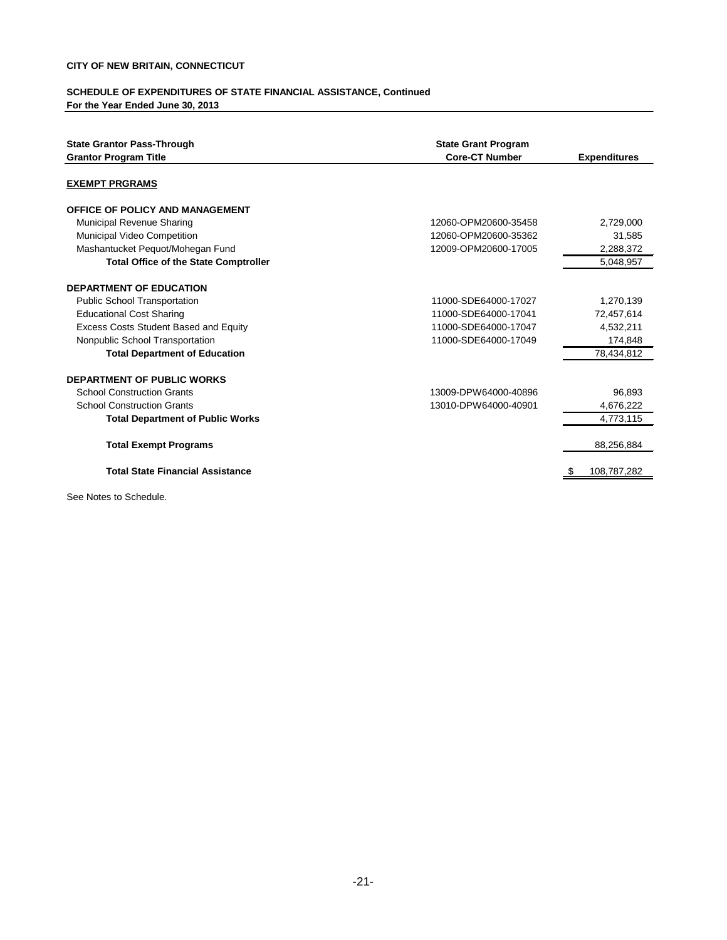#### **SCHEDULE OF EXPENDITURES OF STATE FINANCIAL ASSISTANCE, Continued For the Year Ended June 30, 2013**

| <b>State Grantor Pass-Through</b>            | <b>State Grant Program</b> |                     |  |  |
|----------------------------------------------|----------------------------|---------------------|--|--|
| <b>Grantor Program Title</b>                 | <b>Core-CT Number</b>      | <b>Expenditures</b> |  |  |
| <b>EXEMPT PRGRAMS</b>                        |                            |                     |  |  |
| OFFICE OF POLICY AND MANAGEMENT              |                            |                     |  |  |
| Municipal Revenue Sharing                    | 12060-OPM20600-35458       | 2,729,000           |  |  |
| <b>Municipal Video Competition</b>           | 12060-OPM20600-35362       | 31,585              |  |  |
| Mashantucket Pequot/Mohegan Fund             | 12009-OPM20600-17005       | 2,288,372           |  |  |
| <b>Total Office of the State Comptroller</b> |                            | 5,048,957           |  |  |
| <b>DEPARTMENT OF EDUCATION</b>               |                            |                     |  |  |
| Public School Transportation                 | 11000-SDE64000-17027       | 1,270,139           |  |  |
| <b>Educational Cost Sharing</b>              | 11000-SDE64000-17041       | 72,457,614          |  |  |
| Excess Costs Student Based and Equity        | 11000-SDE64000-17047       | 4,532,211           |  |  |
| Nonpublic School Transportation              | 11000-SDE64000-17049       | 174,848             |  |  |
| <b>Total Department of Education</b>         |                            | 78,434,812          |  |  |
| <b>DEPARTMENT OF PUBLIC WORKS</b>            |                            |                     |  |  |
| <b>School Construction Grants</b>            | 13009-DPW64000-40896       | 96.893              |  |  |
| <b>School Construction Grants</b>            | 13010-DPW64000-40901       | 4,676,222           |  |  |
| <b>Total Department of Public Works</b>      |                            | 4,773,115           |  |  |
| <b>Total Exempt Programs</b>                 |                            | 88,256,884          |  |  |
| <b>Total State Financial Assistance</b>      |                            | 108,787,282         |  |  |

See Notes to Schedule.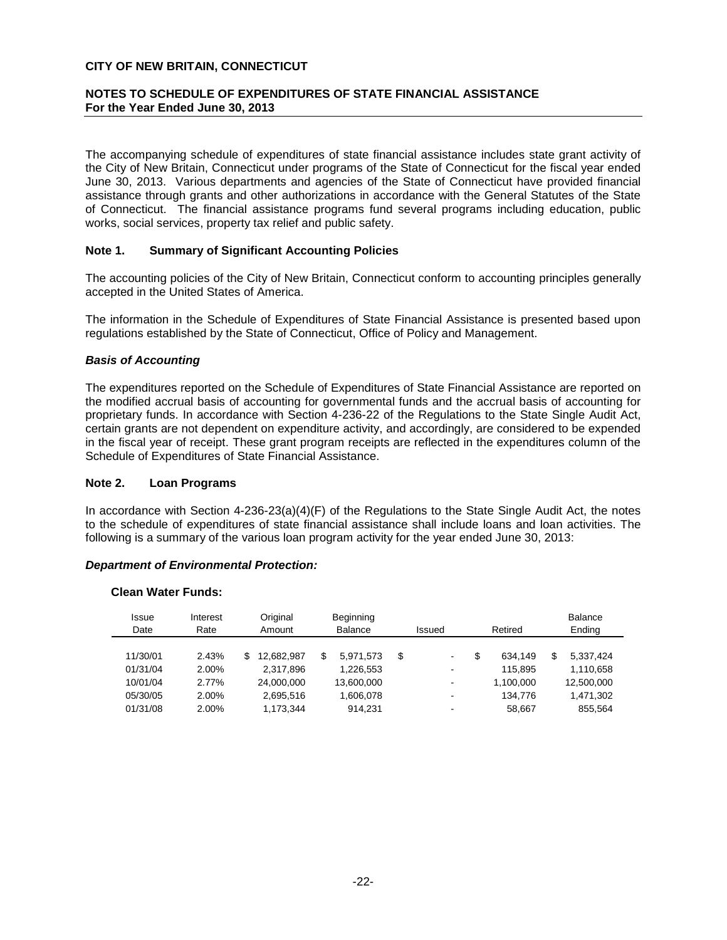# **NOTES TO SCHEDULE OF EXPENDITURES OF STATE FINANCIAL ASSISTANCE For the Year Ended June 30, 2013**

The accompanying schedule of expenditures of state financial assistance includes state grant activity of the City of New Britain, Connecticut under programs of the State of Connecticut for the fiscal year ended June 30, 2013. Various departments and agencies of the State of Connecticut have provided financial assistance through grants and other authorizations in accordance with the General Statutes of the State of Connecticut. The financial assistance programs fund several programs including education, public works, social services, property tax relief and public safety.

#### **Note 1. Summary of Significant Accounting Policies**

The accounting policies of the City of New Britain, Connecticut conform to accounting principles generally accepted in the United States of America.

The information in the Schedule of Expenditures of State Financial Assistance is presented based upon regulations established by the State of Connecticut, Office of Policy and Management.

#### *Basis of Accounting*

The expenditures reported on the Schedule of Expenditures of State Financial Assistance are reported on the modified accrual basis of accounting for governmental funds and the accrual basis of accounting for proprietary funds. In accordance with Section 4-236-22 of the Regulations to the State Single Audit Act, certain grants are not dependent on expenditure activity, and accordingly, are considered to be expended in the fiscal year of receipt. These grant program receipts are reflected in the expenditures column of the Schedule of Expenditures of State Financial Assistance.

#### **Note 2. Loan Programs**

In accordance with Section 4-236-23(a)(4)(F) of the Regulations to the State Single Audit Act, the notes to the schedule of expenditures of state financial assistance shall include loans and loan activities. The following is a summary of the various loan program activity for the year ended June 30, 2013:

#### *Department of Environmental Protection:*

| Issue<br>Date | Interest<br>Rate | Original<br>Amount | <b>Beginning</b><br>Balance | Issued  | Retired       |   | Balance<br>Ending |
|---------------|------------------|--------------------|-----------------------------|---------|---------------|---|-------------------|
|               |                  |                    |                             |         |               |   |                   |
| 11/30/01      | 2.43%            | 12.682.987         | 5.971.573<br>S              | \$<br>۰ | \$<br>634.149 | S | 5.337.424         |
| 01/31/04      | 2.00%            | 2.317.896          | 1.226.553                   | -       | 115.895       |   | 1,110,658         |
| 10/01/04      | 2.77%            | 24.000.000         | 13.600.000                  | ۰       | 1.100.000     |   | 12.500.000        |
| 05/30/05      | 2.00%            | 2.695.516          | 1,606,078                   | -       | 134.776       |   | 1,471,302         |
| 01/31/08      | 2.00%            | 1,173,344          | 914.231                     | -       | 58.667        |   | 855.564           |

#### **Clean Water Funds:**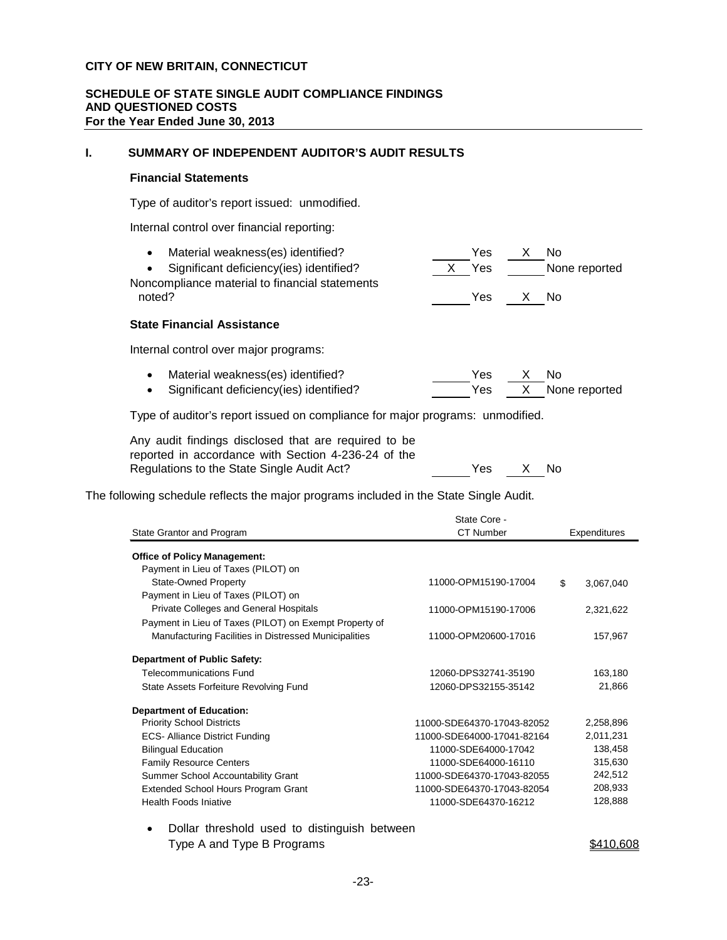#### **SCHEDULE OF STATE SINGLE AUDIT COMPLIANCE FINDINGS AND QUESTIONED COSTS For the Year Ended June 30, 2013**

# **I. SUMMARY OF INDEPENDENT AUDITOR'S AUDIT RESULTS**

#### **Financial Statements**

Type of auditor's report issued: unmodified.

Internal control over financial reporting:

| Material weakness(es) identified?              | Yes | Nο            |
|------------------------------------------------|-----|---------------|
| • Significant deficiency(ies) identified?      | Yes | None reported |
| Noncompliance material to financial statements |     |               |
| noted?                                         | Yes | X No          |
|                                                |     |               |

#### **State Financial Assistance**

Internal control over major programs:

| Material weakness(es) identified?         | Yes l | - X - No |                 |
|-------------------------------------------|-------|----------|-----------------|
| • Significant deficiency(ies) identified? | Yes   |          | X None reported |

Type of auditor's report issued on compliance for major programs: unmodified.

Any audit findings disclosed that are required to be reported in accordance with Section 4-236-24 of the Regulations to the State Single Audit Act? The Manus Yes Xindows Xindows Xindows Xindows Xindows Xindows Xindows Xindows Xindows Xindows Xindows Xindows Xindows Xindows Xindows Xindows Xindows Xindows Xindows Xindows Xindo

The following schedule reflects the major programs included in the State Single Audit.

|                                                        | State Core -               |    |              |  |
|--------------------------------------------------------|----------------------------|----|--------------|--|
| State Grantor and Program                              | <b>CT Number</b>           |    | Expenditures |  |
| <b>Office of Policy Management:</b>                    |                            |    |              |  |
| Payment in Lieu of Taxes (PILOT) on                    |                            |    |              |  |
| <b>State-Owned Property</b>                            | 11000-OPM15190-17004       | \$ | 3,067,040    |  |
| Payment in Lieu of Taxes (PILOT) on                    |                            |    |              |  |
| <b>Private Colleges and General Hospitals</b>          | 11000-OPM15190-17006       |    | 2,321,622    |  |
| Payment in Lieu of Taxes (PILOT) on Exempt Property of |                            |    |              |  |
| Manufacturing Facilities in Distressed Municipalities  | 11000-OPM20600-17016       |    | 157,967      |  |
| <b>Department of Public Safety:</b>                    |                            |    |              |  |
| <b>Telecommunications Fund</b>                         | 12060-DPS32741-35190       |    | 163,180      |  |
| State Assets Forfeiture Revolving Fund                 | 12060-DPS32155-35142       |    | 21,866       |  |
| <b>Department of Education:</b>                        |                            |    |              |  |
| <b>Priority School Districts</b>                       | 11000-SDE64370-17043-82052 |    | 2,258,896    |  |
| <b>ECS-Alliance District Funding</b>                   | 11000-SDE64000-17041-82164 |    | 2,011,231    |  |
| <b>Bilingual Education</b>                             | 11000-SDE64000-17042       |    | 138,458      |  |
| <b>Family Resource Centers</b>                         | 11000-SDE64000-16110       |    | 315,630      |  |
| Summer School Accountability Grant                     | 11000-SDE64370-17043-82055 |    | 242,512      |  |
| Extended School Hours Program Grant                    | 11000-SDE64370-17043-82054 |    | 208,933      |  |
| Health Foods Injative                                  | 11000-SDE64370-16212       |    | 128,888      |  |

# • Dollar threshold used to distinguish between Type A and Type B Programs  $$410,608$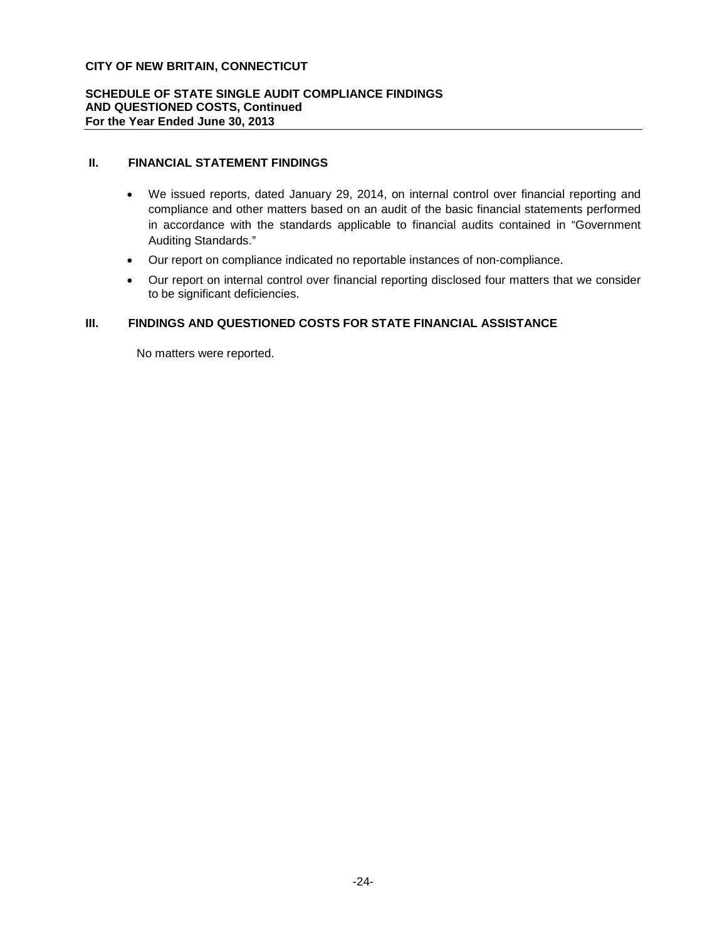# **SCHEDULE OF STATE SINGLE AUDIT COMPLIANCE FINDINGS AND QUESTIONED COSTS, Continued For the Year Ended June 30, 2013**

# **II. FINANCIAL STATEMENT FINDINGS**

- We issued reports, dated January 29, 2014, on internal control over financial reporting and compliance and other matters based on an audit of the basic financial statements performed in accordance with the standards applicable to financial audits contained in "Government Auditing Standards."
- Our report on compliance indicated no reportable instances of non-compliance.
- Our report on internal control over financial reporting disclosed four matters that we consider to be significant deficiencies.

# **III. FINDINGS AND QUESTIONED COSTS FOR STATE FINANCIAL ASSISTANCE**

No matters were reported.